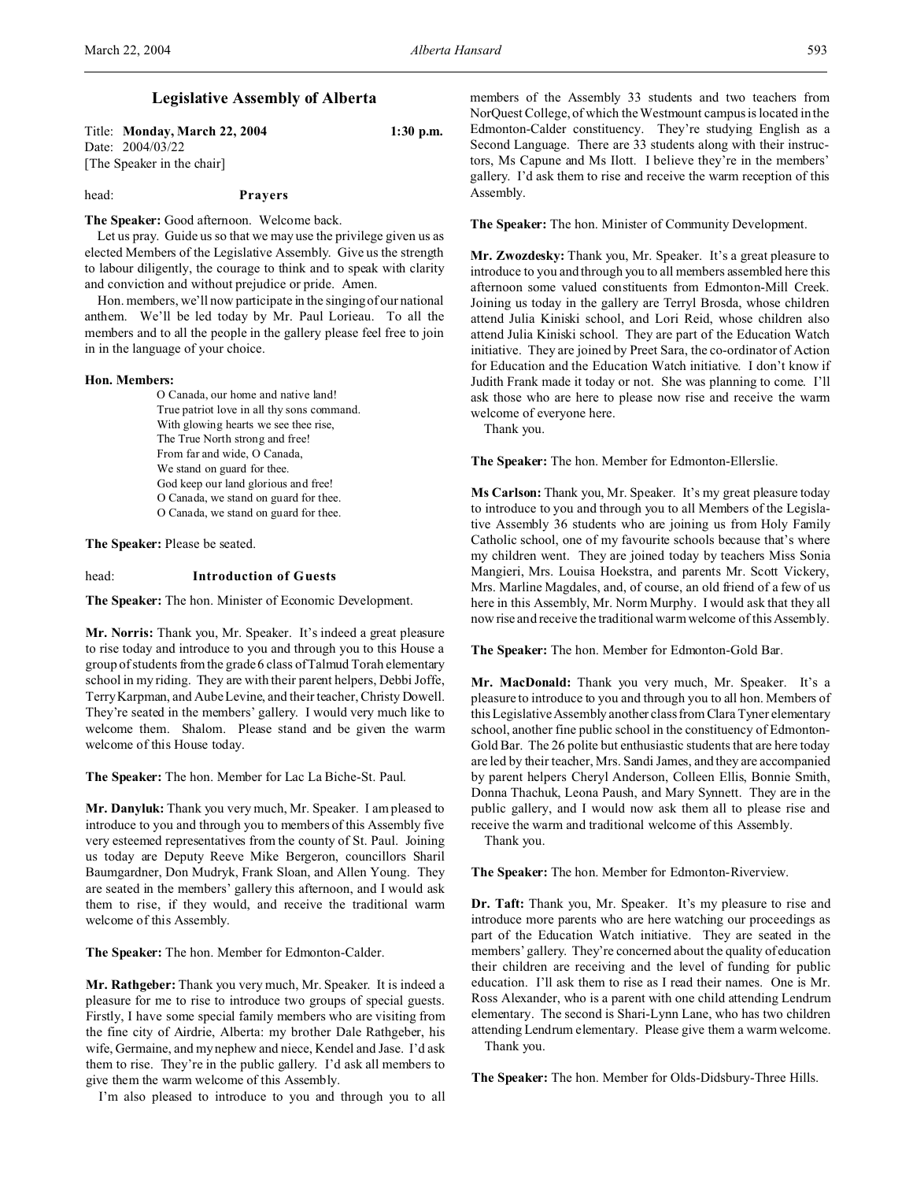# **Legislative Assembly of Alberta**

Title: **Monday, March 22, 2004 1:30 p.m.** Date: 2004/03/22 [The Speaker in the chair]

# head: **Prayers**

**The Speaker:** Good afternoon. Welcome back.

Let us pray. Guide us so that we may use the privilege given us as elected Members of the Legislative Assembly. Give us the strength to labour diligently, the courage to think and to speak with clarity and conviction and without prejudice or pride. Amen.

Hon. members, we'll now participate in the singing of our national anthem. We'll be led today by Mr. Paul Lorieau. To all the members and to all the people in the gallery please feel free to join in in the language of your choice.

#### **Hon. Members:**

O Canada, our home and native land! True patriot love in all thy sons command. With glowing hearts we see thee rise, The True North strong and free! From far and wide, O Canada, We stand on guard for thee. God keep our land glorious and free! O Canada, we stand on guard for thee. O Canada, we stand on guard for thee.

**The Speaker:** Please be seated.

# head: **Introduction of Guests**

**The Speaker:** The hon. Minister of Economic Development.

**Mr. Norris:** Thank you, Mr. Speaker. It's indeed a great pleasure to rise today and introduce to you and through you to this House a group of students from the grade 6 class of Talmud Torah elementary school in my riding. They are with their parent helpers, Debbi Joffe, Terry Karpman, and Aube Levine, and their teacher, Christy Dowell. They're seated in the members' gallery. I would very much like to welcome them. Shalom. Please stand and be given the warm welcome of this House today.

**The Speaker:** The hon. Member for Lac La Biche-St. Paul.

**Mr. Danyluk:** Thank you very much, Mr. Speaker. I am pleased to introduce to you and through you to members of this Assembly five very esteemed representatives from the county of St. Paul. Joining us today are Deputy Reeve Mike Bergeron, councillors Sharil Baumgardner, Don Mudryk, Frank Sloan, and Allen Young. They are seated in the members' gallery this afternoon, and I would ask them to rise, if they would, and receive the traditional warm welcome of this Assembly.

**The Speaker:** The hon. Member for Edmonton-Calder.

**Mr. Rathgeber:** Thank you very much, Mr. Speaker. It is indeed a pleasure for me to rise to introduce two groups of special guests. Firstly, I have some special family members who are visiting from the fine city of Airdrie, Alberta: my brother Dale Rathgeber, his wife, Germaine, and my nephew and niece, Kendel and Jase. I'd ask them to rise. They're in the public gallery. I'd ask all members to give them the warm welcome of this Assembly.

I'm also pleased to introduce to you and through you to all

members of the Assembly 33 students and two teachers from NorQuest College, of which the Westmount campus is located in the Edmonton-Calder constituency. They're studying English as a Second Language. There are 33 students along with their instructors, Ms Capune and Ms Ilott. I believe they're in the members' gallery. I'd ask them to rise and receive the warm reception of this Assembly.

**The Speaker:** The hon. Minister of Community Development.

**Mr. Zwozdesky:** Thank you, Mr. Speaker. It's a great pleasure to introduce to you and through you to all members assembled here this afternoon some valued constituents from Edmonton-Mill Creek. Joining us today in the gallery are Terryl Brosda, whose children attend Julia Kiniski school, and Lori Reid, whose children also attend Julia Kiniski school. They are part of the Education Watch initiative. They are joined by Preet Sara, the co-ordinator of Action for Education and the Education Watch initiative. I don't know if Judith Frank made it today or not. She was planning to come. I'll ask those who are here to please now rise and receive the warm welcome of everyone here.

Thank you.

**The Speaker:** The hon. Member for Edmonton-Ellerslie.

**Ms Carlson:** Thank you, Mr. Speaker. It's my great pleasure today to introduce to you and through you to all Members of the Legislative Assembly 36 students who are joining us from Holy Family Catholic school, one of my favourite schools because that's where my children went. They are joined today by teachers Miss Sonia Mangieri, Mrs. Louisa Hoekstra, and parents Mr. Scott Vickery, Mrs. Marline Magdales, and, of course, an old friend of a few of us here in this Assembly, Mr. Norm Murphy. I would ask that they all now rise and receive the traditional warm welcome of this Assembly.

**The Speaker:** The hon. Member for Edmonton-Gold Bar.

**Mr. MacDonald:** Thank you very much, Mr. Speaker. It's a pleasure to introduce to you and through you to all hon. Members of this Legislative Assembly another class from Clara Tyner elementary school, another fine public school in the constituency of Edmonton-Gold Bar. The 26 polite but enthusiastic students that are here today are led by their teacher, Mrs. Sandi James, and they are accompanied by parent helpers Cheryl Anderson, Colleen Ellis, Bonnie Smith, Donna Thachuk, Leona Paush, and Mary Synnett. They are in the public gallery, and I would now ask them all to please rise and receive the warm and traditional welcome of this Assembly.

Thank you.

**The Speaker:** The hon. Member for Edmonton-Riverview.

**Dr. Taft:** Thank you, Mr. Speaker. It's my pleasure to rise and introduce more parents who are here watching our proceedings as part of the Education Watch initiative. They are seated in the members' gallery. They're concerned about the quality of education their children are receiving and the level of funding for public education. I'll ask them to rise as I read their names. One is Mr. Ross Alexander, who is a parent with one child attending Lendrum elementary. The second is Shari-Lynn Lane, who has two children attending Lendrum elementary. Please give them a warm welcome. Thank you.

**The Speaker:** The hon. Member for Olds-Didsbury-Three Hills.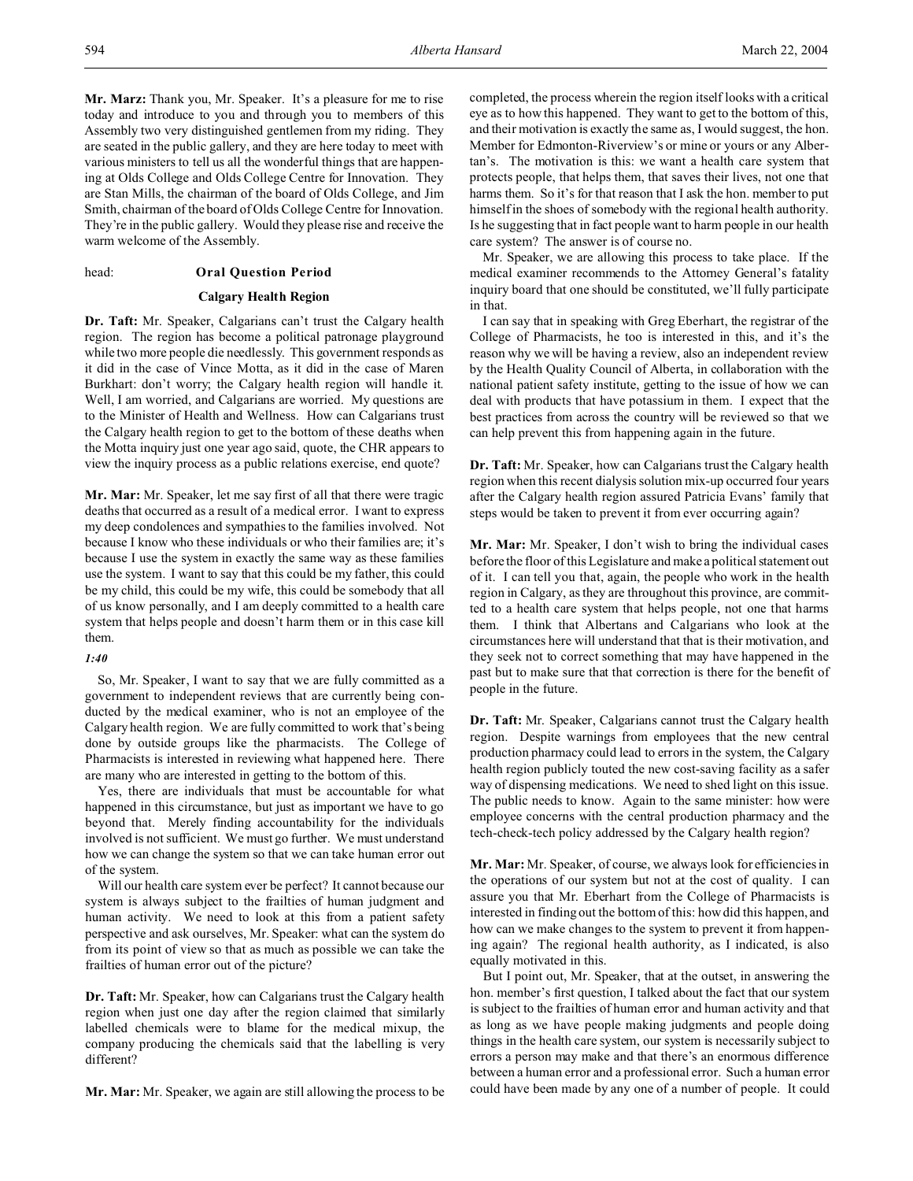**Mr. Marz:** Thank you, Mr. Speaker. It's a pleasure for me to rise today and introduce to you and through you to members of this Assembly two very distinguished gentlemen from my riding. They are seated in the public gallery, and they are here today to meet with various ministers to tell us all the wonderful things that are happening at Olds College and Olds College Centre for Innovation. They are Stan Mills, the chairman of the board of Olds College, and Jim Smith, chairman of the board of Olds College Centre for Innovation. They're in the public gallery. Would they please rise and receive the warm welcome of the Assembly.

# head: **Oral Question Period**

# **Calgary Health Region**

**Dr. Taft:** Mr. Speaker, Calgarians can't trust the Calgary health region. The region has become a political patronage playground while two more people die needlessly. This government responds as it did in the case of Vince Motta, as it did in the case of Maren Burkhart: don't worry; the Calgary health region will handle it. Well, I am worried, and Calgarians are worried. My questions are to the Minister of Health and Wellness. How can Calgarians trust the Calgary health region to get to the bottom of these deaths when the Motta inquiry just one year ago said, quote, the CHR appears to view the inquiry process as a public relations exercise, end quote?

**Mr. Mar:** Mr. Speaker, let me say first of all that there were tragic deaths that occurred as a result of a medical error. I want to express my deep condolences and sympathies to the families involved. Not because I know who these individuals or who their families are; it's because I use the system in exactly the same way as these families use the system. I want to say that this could be my father, this could be my child, this could be my wife, this could be somebody that all of us know personally, and I am deeply committed to a health care system that helps people and doesn't harm them or in this case kill them.

### *1:40*

So, Mr. Speaker, I want to say that we are fully committed as a government to independent reviews that are currently being conducted by the medical examiner, who is not an employee of the Calgary health region. We are fully committed to work that's being done by outside groups like the pharmacists. The College of Pharmacists is interested in reviewing what happened here. There are many who are interested in getting to the bottom of this.

Yes, there are individuals that must be accountable for what happened in this circumstance, but just as important we have to go beyond that. Merely finding accountability for the individuals involved is not sufficient. We must go further. We must understand how we can change the system so that we can take human error out of the system.

Will our health care system ever be perfect? It cannot because our system is always subject to the frailties of human judgment and human activity. We need to look at this from a patient safety perspective and ask ourselves, Mr. Speaker: what can the system do from its point of view so that as much as possible we can take the frailties of human error out of the picture?

**Dr. Taft:** Mr. Speaker, how can Calgarians trust the Calgary health region when just one day after the region claimed that similarly labelled chemicals were to blame for the medical mixup, the company producing the chemicals said that the labelling is very different?

**Mr. Mar:** Mr. Speaker, we again are still allowing the process to be

completed, the process wherein the region itself looks with a critical eye as to how this happened. They want to get to the bottom of this, and their motivation is exactly the same as, I would suggest, the hon. Member for Edmonton-Riverview's or mine or yours or any Albertan's. The motivation is this: we want a health care system that protects people, that helps them, that saves their lives, not one that harms them. So it's for that reason that I ask the hon. member to put himself in the shoes of somebody with the regional health authority. Is he suggesting that in fact people want to harm people in our health care system? The answer is of course no.

Mr. Speaker, we are allowing this process to take place. If the medical examiner recommends to the Attorney General's fatality inquiry board that one should be constituted, we'll fully participate in that.

I can say that in speaking with Greg Eberhart, the registrar of the College of Pharmacists, he too is interested in this, and it's the reason why we will be having a review, also an independent review by the Health Quality Council of Alberta, in collaboration with the national patient safety institute, getting to the issue of how we can deal with products that have potassium in them. I expect that the best practices from across the country will be reviewed so that we can help prevent this from happening again in the future.

**Dr. Taft:** Mr. Speaker, how can Calgarians trust the Calgary health region when this recent dialysis solution mix-up occurred four years after the Calgary health region assured Patricia Evans' family that steps would be taken to prevent it from ever occurring again?

**Mr. Mar:** Mr. Speaker, I don't wish to bring the individual cases before the floor of this Legislature and make a political statement out of it. I can tell you that, again, the people who work in the health region in Calgary, as they are throughout this province, are committed to a health care system that helps people, not one that harms them. I think that Albertans and Calgarians who look at the circumstances here will understand that that is their motivation, and they seek not to correct something that may have happened in the past but to make sure that that correction is there for the benefit of people in the future.

**Dr. Taft:** Mr. Speaker, Calgarians cannot trust the Calgary health region. Despite warnings from employees that the new central production pharmacy could lead to errors in the system, the Calgary health region publicly touted the new cost-saving facility as a safer way of dispensing medications. We need to shed light on this issue. The public needs to know. Again to the same minister: how were employee concerns with the central production pharmacy and the tech-check-tech policy addressed by the Calgary health region?

**Mr. Mar:** Mr. Speaker, of course, we always look for efficiencies in the operations of our system but not at the cost of quality. I can assure you that Mr. Eberhart from the College of Pharmacists is interested in finding out the bottom of this: how did this happen, and how can we make changes to the system to prevent it from happening again? The regional health authority, as I indicated, is also equally motivated in this.

But I point out, Mr. Speaker, that at the outset, in answering the hon. member's first question, I talked about the fact that our system is subject to the frailties of human error and human activity and that as long as we have people making judgments and people doing things in the health care system, our system is necessarily subject to errors a person may make and that there's an enormous difference between a human error and a professional error. Such a human error could have been made by any one of a number of people. It could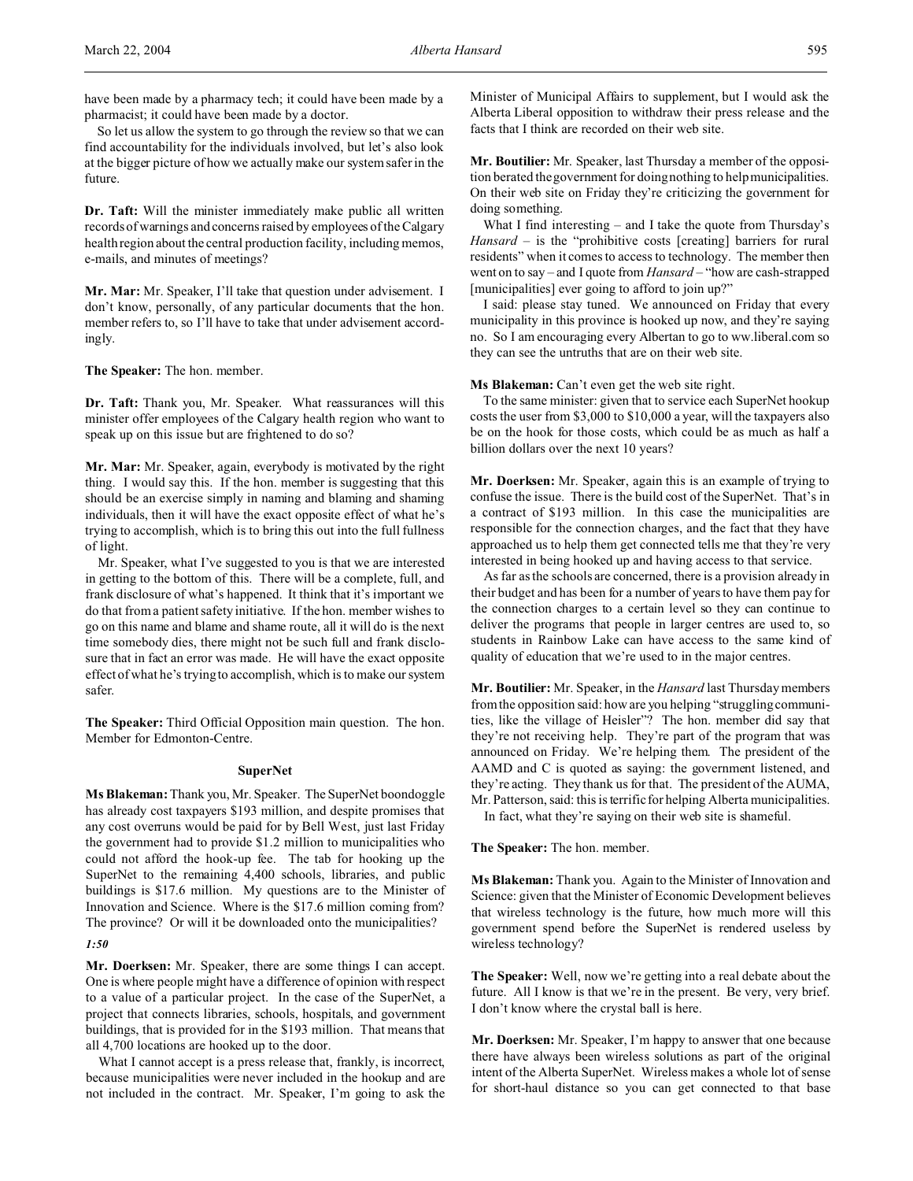have been made by a pharmacy tech; it could have been made by a pharmacist; it could have been made by a doctor.

So let us allow the system to go through the review so that we can find accountability for the individuals involved, but let's also look at the bigger picture of how we actually make our system safer in the future.

**Dr. Taft:** Will the minister immediately make public all written records of warnings and concerns raised by employees of the Calgary health region about the central production facility, including memos, e-mails, and minutes of meetings?

**Mr. Mar:** Mr. Speaker, I'll take that question under advisement. I don't know, personally, of any particular documents that the hon. member refers to, so I'll have to take that under advisement accordingly.

**The Speaker:** The hon. member.

**Dr. Taft:** Thank you, Mr. Speaker. What reassurances will this minister offer employees of the Calgary health region who want to speak up on this issue but are frightened to do so?

**Mr. Mar:** Mr. Speaker, again, everybody is motivated by the right thing. I would say this. If the hon. member is suggesting that this should be an exercise simply in naming and blaming and shaming individuals, then it will have the exact opposite effect of what he's trying to accomplish, which is to bring this out into the full fullness of light.

Mr. Speaker, what I've suggested to you is that we are interested in getting to the bottom of this. There will be a complete, full, and frank disclosure of what's happened. It think that it's important we do that from a patient safety initiative. If the hon. member wishes to go on this name and blame and shame route, all it will do is the next time somebody dies, there might not be such full and frank disclosure that in fact an error was made. He will have the exact opposite effect of what he's trying to accomplish, which is to make our system safer.

**The Speaker:** Third Official Opposition main question. The hon. Member for Edmonton-Centre.

# **SuperNet**

**Ms Blakeman:** Thank you, Mr. Speaker. The SuperNet boondoggle has already cost taxpayers \$193 million, and despite promises that any cost overruns would be paid for by Bell West, just last Friday the government had to provide \$1.2 million to municipalities who could not afford the hook-up fee. The tab for hooking up the SuperNet to the remaining 4,400 schools, libraries, and public buildings is \$17.6 million. My questions are to the Minister of Innovation and Science. Where is the \$17.6 million coming from? The province? Or will it be downloaded onto the municipalities?

*1:50*

**Mr. Doerksen:** Mr. Speaker, there are some things I can accept. One is where people might have a difference of opinion with respect to a value of a particular project. In the case of the SuperNet, a project that connects libraries, schools, hospitals, and government buildings, that is provided for in the \$193 million. That means that all 4,700 locations are hooked up to the door.

What I cannot accept is a press release that, frankly, is incorrect, because municipalities were never included in the hookup and are not included in the contract. Mr. Speaker, I'm going to ask the

Minister of Municipal Affairs to supplement, but I would ask the Alberta Liberal opposition to withdraw their press release and the facts that I think are recorded on their web site.

**Mr. Boutilier:** Mr. Speaker, last Thursday a member of the opposition berated the government for doing nothing to help municipalities. On their web site on Friday they're criticizing the government for doing something.

What I find interesting – and I take the quote from Thursday's *Hansard* – is the "prohibitive costs [creating] barriers for rural residents" when it comes to access to technology. The member then went on to say – and I quote from *Hansard* – "how are cash-strapped [municipalities] ever going to afford to join up?"

I said: please stay tuned. We announced on Friday that every municipality in this province is hooked up now, and they're saying no. So I am encouraging every Albertan to go to ww.liberal.com so they can see the untruths that are on their web site.

Ms Blakeman: Can't even get the web site right.

To the same minister: given that to service each SuperNet hookup costs the user from \$3,000 to \$10,000 a year, will the taxpayers also be on the hook for those costs, which could be as much as half a billion dollars over the next 10 years?

**Mr. Doerksen:** Mr. Speaker, again this is an example of trying to confuse the issue. There is the build cost of the SuperNet. That's in a contract of \$193 million. In this case the municipalities are responsible for the connection charges, and the fact that they have approached us to help them get connected tells me that they're very interested in being hooked up and having access to that service.

As far as the schools are concerned, there is a provision already in their budget and has been for a number of years to have them pay for the connection charges to a certain level so they can continue to deliver the programs that people in larger centres are used to, so students in Rainbow Lake can have access to the same kind of quality of education that we're used to in the major centres.

**Mr. Boutilier:** Mr. Speaker, in the *Hansard* last Thursday members from the opposition said: how are you helping "struggling communities, like the village of Heisler"? The hon. member did say that they're not receiving help. They're part of the program that was announced on Friday. We're helping them. The president of the AAMD and C is quoted as saying: the government listened, and they're acting. They thank us for that. The president of the AUMA, Mr. Patterson, said: this is terrific for helping Alberta municipalities.

In fact, what they're saying on their web site is shameful.

**The Speaker:** The hon. member.

**Ms Blakeman:** Thank you. Again to the Minister of Innovation and Science: given that the Minister of Economic Development believes that wireless technology is the future, how much more will this government spend before the SuperNet is rendered useless by wireless technology?

**The Speaker:** Well, now we're getting into a real debate about the future. All I know is that we're in the present. Be very, very brief. I don't know where the crystal ball is here.

**Mr. Doerksen:** Mr. Speaker, I'm happy to answer that one because there have always been wireless solutions as part of the original intent of the Alberta SuperNet. Wireless makes a whole lot of sense for short-haul distance so you can get connected to that base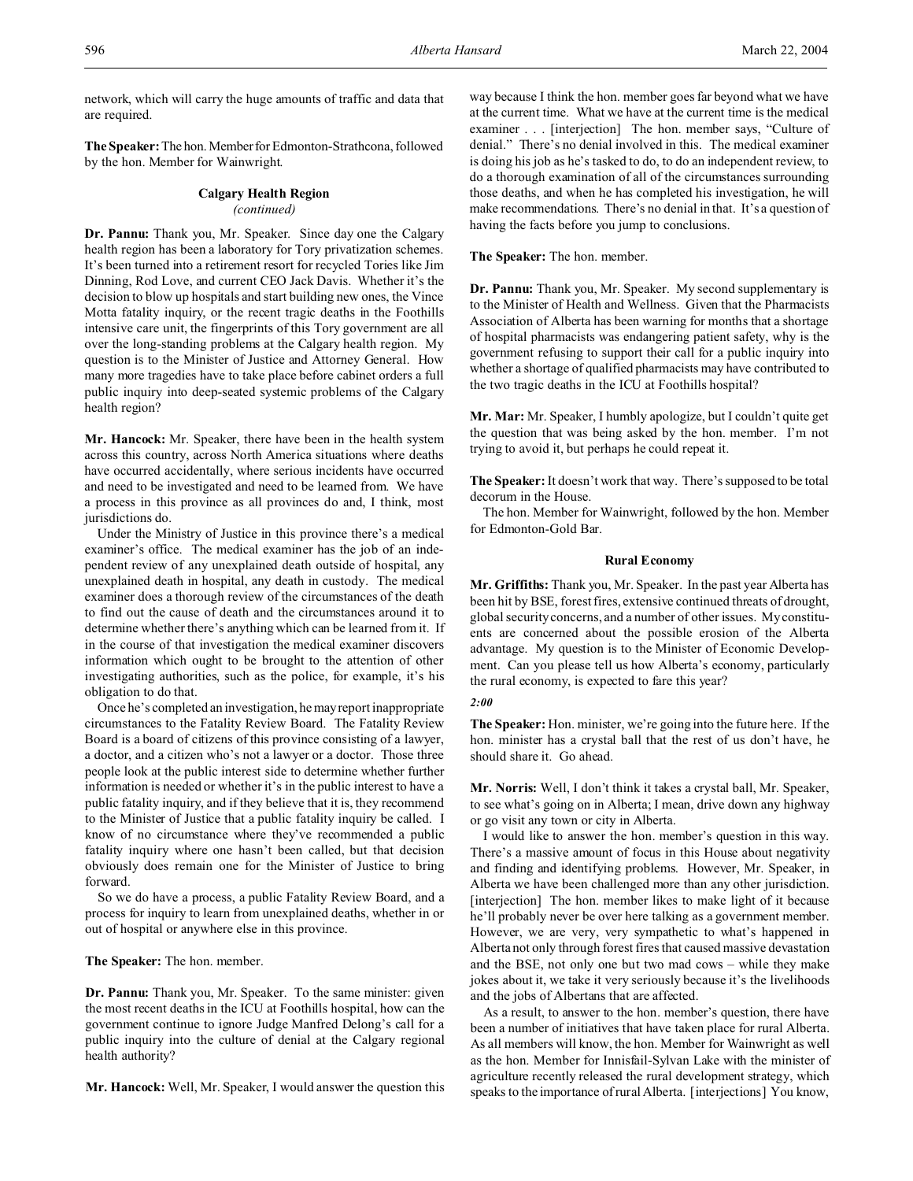network, which will carry the huge amounts of traffic and data that are required.

The Speaker: The hon. Member for Edmonton-Strathcona, followed by the hon. Member for Wainwright.

# **Calgary Health Region** *(continued)*

**Dr. Pannu:** Thank you, Mr. Speaker. Since day one the Calgary health region has been a laboratory for Tory privatization schemes. It's been turned into a retirement resort for recycled Tories like Jim Dinning, Rod Love, and current CEO Jack Davis. Whether it's the decision to blow up hospitals and start building new ones, the Vince Motta fatality inquiry, or the recent tragic deaths in the Foothills intensive care unit, the fingerprints of this Tory government are all over the long-standing problems at the Calgary health region. My question is to the Minister of Justice and Attorney General. How many more tragedies have to take place before cabinet orders a full public inquiry into deep-seated systemic problems of the Calgary health region?

**Mr. Hancock:** Mr. Speaker, there have been in the health system across this country, across North America situations where deaths have occurred accidentally, where serious incidents have occurred and need to be investigated and need to be learned from. We have a process in this province as all provinces do and, I think, most jurisdictions do.

Under the Ministry of Justice in this province there's a medical examiner's office. The medical examiner has the job of an independent review of any unexplained death outside of hospital, any unexplained death in hospital, any death in custody. The medical examiner does a thorough review of the circumstances of the death to find out the cause of death and the circumstances around it to determine whether there's anything which can be learned from it. If in the course of that investigation the medical examiner discovers information which ought to be brought to the attention of other investigating authorities, such as the police, for example, it's his obligation to do that.

Once he's completed an investigation, he mayreport inappropriate circumstances to the Fatality Review Board. The Fatality Review Board is a board of citizens of this province consisting of a lawyer, a doctor, and a citizen who's not a lawyer or a doctor. Those three people look at the public interest side to determine whether further information is needed or whether it's in the public interest to have a public fatality inquiry, and if they believe that it is, they recommend to the Minister of Justice that a public fatality inquiry be called. I know of no circumstance where they've recommended a public fatality inquiry where one hasn't been called, but that decision obviously does remain one for the Minister of Justice to bring forward.

So we do have a process, a public Fatality Review Board, and a process for inquiry to learn from unexplained deaths, whether in or out of hospital or anywhere else in this province.

**The Speaker:** The hon. member.

**Dr. Pannu:** Thank you, Mr. Speaker. To the same minister: given the most recent deaths in the ICU at Foothills hospital, how can the government continue to ignore Judge Manfred Delong's call for a public inquiry into the culture of denial at the Calgary regional health authority?

**Mr. Hancock:** Well, Mr. Speaker, I would answer the question this

way because I think the hon. member goes far beyond what we have at the current time. What we have at the current time is the medical examiner . . . [interjection] The hon. member says, "Culture of denial." There's no denial involved in this. The medical examiner is doing his job as he's tasked to do, to do an independent review, to do a thorough examination of all of the circumstances surrounding those deaths, and when he has completed his investigation, he will make recommendations. There's no denial in that. It's a question of having the facts before you jump to conclusions.

**The Speaker:** The hon. member.

**Dr. Pannu:** Thank you, Mr. Speaker. My second supplementary is to the Minister of Health and Wellness. Given that the Pharmacists Association of Alberta has been warning for months that a shortage of hospital pharmacists was endangering patient safety, why is the government refusing to support their call for a public inquiry into whether a shortage of qualified pharmacists may have contributed to the two tragic deaths in the ICU at Foothills hospital?

**Mr. Mar:** Mr. Speaker, I humbly apologize, but I couldn't quite get the question that was being asked by the hon. member. I'm not trying to avoid it, but perhaps he could repeat it.

**The Speaker:** It doesn't work that way. There's supposed to be total decorum in the House.

The hon. Member for Wainwright, followed by the hon. Member for Edmonton-Gold Bar.

## **Rural Economy**

**Mr. Griffiths:** Thank you, Mr. Speaker. In the past year Alberta has been hit by BSE, forest fires, extensive continued threats of drought, global security concerns, and a number of other issues. My constituents are concerned about the possible erosion of the Alberta advantage. My question is to the Minister of Economic Development. Can you please tell us how Alberta's economy, particularly the rural economy, is expected to fare this year?

## *2:00*

**The Speaker:** Hon. minister, we're going into the future here. If the hon. minister has a crystal ball that the rest of us don't have, he should share it. Go ahead.

**Mr. Norris:** Well, I don't think it takes a crystal ball, Mr. Speaker, to see what's going on in Alberta; I mean, drive down any highway or go visit any town or city in Alberta.

I would like to answer the hon. member's question in this way. There's a massive amount of focus in this House about negativity and finding and identifying problems. However, Mr. Speaker, in Alberta we have been challenged more than any other jurisdiction. [interjection] The hon. member likes to make light of it because he'll probably never be over here talking as a government member. However, we are very, very sympathetic to what's happened in Alberta not only through forest fires that caused massive devastation and the BSE, not only one but two mad cows – while they make jokes about it, we take it very seriously because it's the livelihoods and the jobs of Albertans that are affected.

As a result, to answer to the hon. member's question, there have been a number of initiatives that have taken place for rural Alberta. As all members will know, the hon. Member for Wainwright as well as the hon. Member for Innisfail-Sylvan Lake with the minister of agriculture recently released the rural development strategy, which speaks to the importance of rural Alberta. [interjections] You know,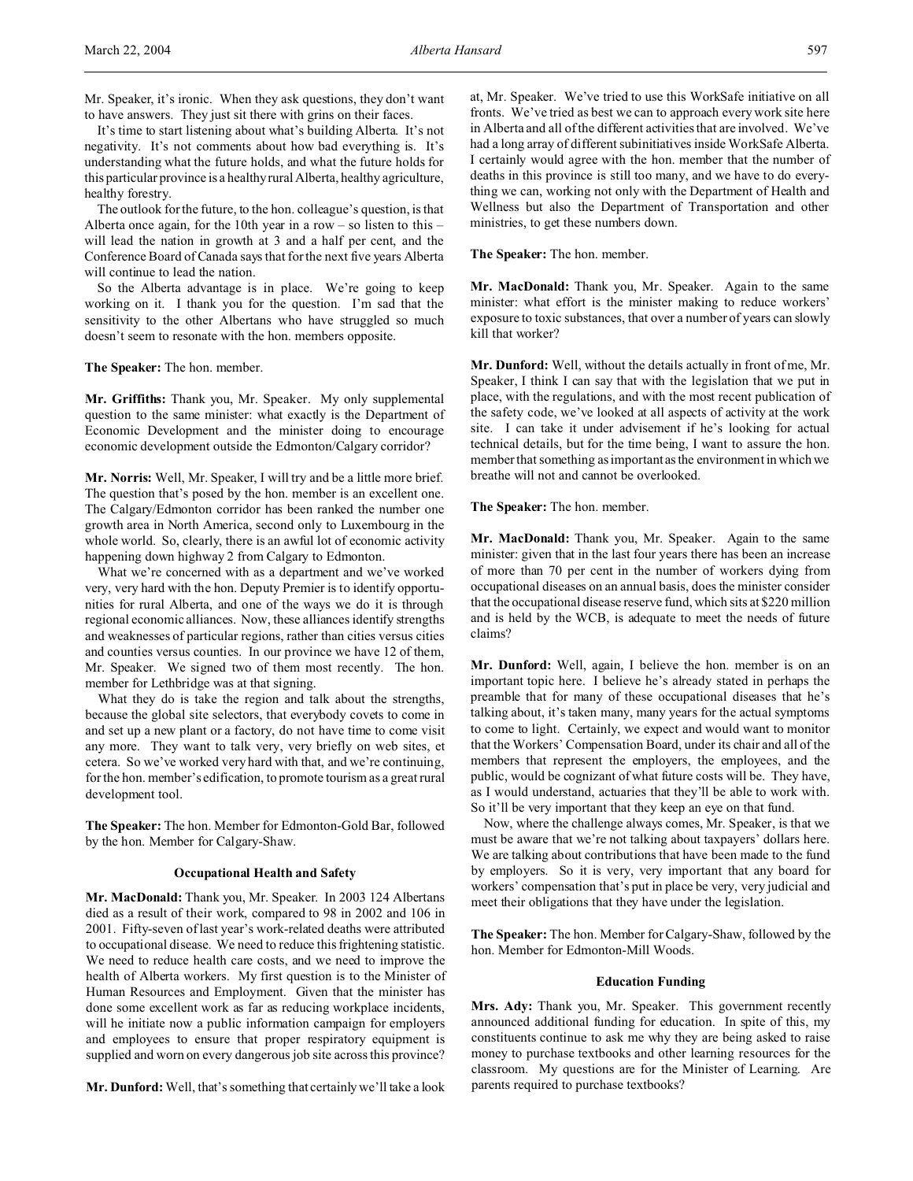It's time to start listening about what's building Alberta. It's not negativity. It's not comments about how bad everything is. It's understanding what the future holds, and what the future holds for this particular province is a healthy rural Alberta, healthy agriculture, healthy forestry.

The outlook for the future, to the hon. colleague's question, is that Alberta once again, for the 10th year in a row – so listen to this – will lead the nation in growth at 3 and a half per cent, and the Conference Board of Canada says that for the next five years Alberta will continue to lead the nation.

So the Alberta advantage is in place. We're going to keep working on it. I thank you for the question. I'm sad that the sensitivity to the other Albertans who have struggled so much doesn't seem to resonate with the hon. members opposite.

**The Speaker:** The hon. member.

**Mr. Griffiths:** Thank you, Mr. Speaker. My only supplemental question to the same minister: what exactly is the Department of Economic Development and the minister doing to encourage economic development outside the Edmonton/Calgary corridor?

**Mr. Norris:** Well, Mr. Speaker, I will try and be a little more brief. The question that's posed by the hon. member is an excellent one. The Calgary/Edmonton corridor has been ranked the number one growth area in North America, second only to Luxembourg in the whole world. So, clearly, there is an awful lot of economic activity happening down highway 2 from Calgary to Edmonton.

What we're concerned with as a department and we've worked very, very hard with the hon. Deputy Premier is to identify opportunities for rural Alberta, and one of the ways we do it is through regional economic alliances. Now, these alliances identify strengths and weaknesses of particular regions, rather than cities versus cities and counties versus counties. In our province we have 12 of them, Mr. Speaker. We signed two of them most recently. The hon. member for Lethbridge was at that signing.

What they do is take the region and talk about the strengths, because the global site selectors, that everybody covets to come in and set up a new plant or a factory, do not have time to come visit any more. They want to talk very, very briefly on web sites, et cetera. So we've worked very hard with that, and we're continuing, for the hon. member's edification, to promote tourism as a great rural development tool.

**The Speaker:** The hon. Member for Edmonton-Gold Bar, followed by the hon. Member for Calgary-Shaw.

### **Occupational Health and Safety**

**Mr. MacDonald:** Thank you, Mr. Speaker. In 2003 124 Albertans died as a result of their work, compared to 98 in 2002 and 106 in 2001. Fifty-seven of last year's work-related deaths were attributed to occupational disease. We need to reduce this frightening statistic. We need to reduce health care costs, and we need to improve the health of Alberta workers. My first question is to the Minister of Human Resources and Employment. Given that the minister has done some excellent work as far as reducing workplace incidents, will he initiate now a public information campaign for employers and employees to ensure that proper respiratory equipment is supplied and worn on every dangerous job site across this province?

**Mr. Dunford:** Well, that's something that certainly we'll take a look

at, Mr. Speaker. We've tried to use this WorkSafe initiative on all fronts. We've tried as best we can to approach every work site here in Alberta and all of the different activities that are involved. We've had a long array of different subinitiatives inside WorkSafe Alberta. I certainly would agree with the hon. member that the number of deaths in this province is still too many, and we have to do everything we can, working not only with the Department of Health and Wellness but also the Department of Transportation and other ministries, to get these numbers down.

**The Speaker:** The hon. member.

**Mr. MacDonald:** Thank you, Mr. Speaker. Again to the same minister: what effort is the minister making to reduce workers' exposure to toxic substances, that over a number of years can slowly kill that worker?

**Mr. Dunford:** Well, without the details actually in front of me, Mr. Speaker, I think I can say that with the legislation that we put in place, with the regulations, and with the most recent publication of the safety code, we've looked at all aspects of activity at the work site. I can take it under advisement if he's looking for actual technical details, but for the time being, I want to assure the hon. member that something as important as the environment in which we breathe will not and cannot be overlooked.

**The Speaker:** The hon. member.

**Mr. MacDonald:** Thank you, Mr. Speaker. Again to the same minister: given that in the last four years there has been an increase of more than 70 per cent in the number of workers dying from occupational diseases on an annual basis, does the minister consider that the occupational disease reserve fund, which sits at \$220 million and is held by the WCB, is adequate to meet the needs of future claims?

**Mr. Dunford:** Well, again, I believe the hon. member is on an important topic here. I believe he's already stated in perhaps the preamble that for many of these occupational diseases that he's talking about, it's taken many, many years for the actual symptoms to come to light. Certainly, we expect and would want to monitor that the Workers' Compensation Board, under its chair and all of the members that represent the employers, the employees, and the public, would be cognizant of what future costs will be. They have, as I would understand, actuaries that they'll be able to work with. So it'll be very important that they keep an eye on that fund.

Now, where the challenge always comes, Mr. Speaker, is that we must be aware that we're not talking about taxpayers' dollars here. We are talking about contributions that have been made to the fund by employers. So it is very, very important that any board for workers' compensation that's put in place be very, very judicial and meet their obligations that they have under the legislation.

**The Speaker:** The hon. Member for Calgary-Shaw, followed by the hon. Member for Edmonton-Mill Woods.

### **Education Funding**

**Mrs. Ady:** Thank you, Mr. Speaker. This government recently announced additional funding for education. In spite of this, my constituents continue to ask me why they are being asked to raise money to purchase textbooks and other learning resources for the classroom. My questions are for the Minister of Learning. Are parents required to purchase textbooks?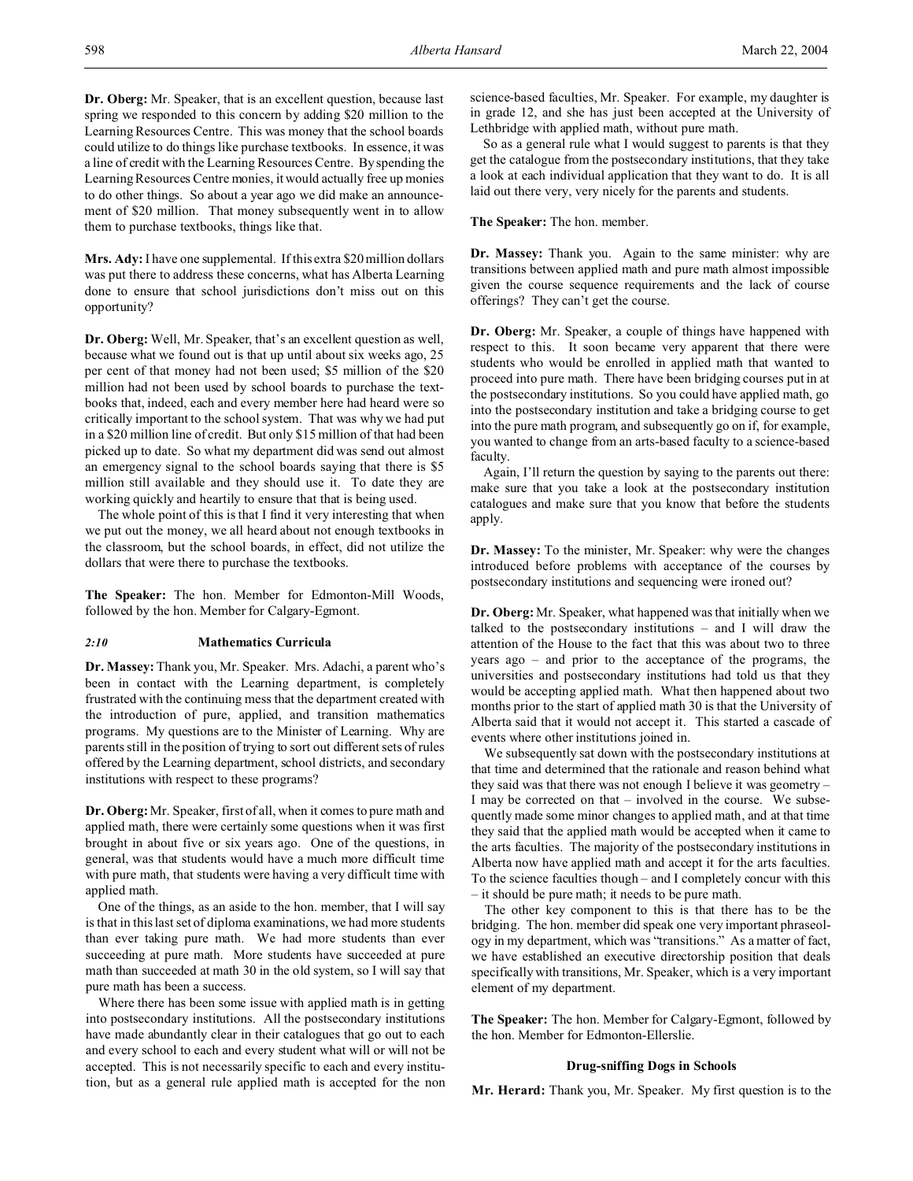**Dr. Oberg:** Mr. Speaker, that is an excellent question, because last spring we responded to this concern by adding \$20 million to the Learning Resources Centre. This was money that the school boards could utilize to do things like purchase textbooks. In essence, it was a line of credit with the Learning Resources Centre. By spending the Learning Resources Centre monies, it would actually free up monies to do other things. So about a year ago we did make an announcement of \$20 million. That money subsequently went in to allow them to purchase textbooks, things like that.

**Mrs. Ady:** I have one supplemental. If this extra \$20 million dollars was put there to address these concerns, what has Alberta Learning done to ensure that school jurisdictions don't miss out on this opportunity?

**Dr. Oberg:** Well, Mr. Speaker, that's an excellent question as well, because what we found out is that up until about six weeks ago, 25 per cent of that money had not been used; \$5 million of the \$20 million had not been used by school boards to purchase the textbooks that, indeed, each and every member here had heard were so critically important to the school system. That was why we had put in a \$20 million line of credit. But only \$15 million of that had been picked up to date. So what my department did was send out almost an emergency signal to the school boards saying that there is \$5 million still available and they should use it. To date they are working quickly and heartily to ensure that that is being used.

The whole point of this is that I find it very interesting that when we put out the money, we all heard about not enough textbooks in the classroom, but the school boards, in effect, did not utilize the dollars that were there to purchase the textbooks.

**The Speaker:** The hon. Member for Edmonton-Mill Woods, followed by the hon. Member for Calgary-Egmont.

# *2:10* **Mathematics Curricula**

**Dr. Massey:** Thank you, Mr. Speaker. Mrs. Adachi, a parent who's been in contact with the Learning department, is completely frustrated with the continuing mess that the department created with the introduction of pure, applied, and transition mathematics programs. My questions are to the Minister of Learning. Why are parents still in the position of trying to sort out different sets of rules offered by the Learning department, school districts, and secondary institutions with respect to these programs?

**Dr. Oberg:**Mr. Speaker, first of all, when it comes to pure math and applied math, there were certainly some questions when it was first brought in about five or six years ago. One of the questions, in general, was that students would have a much more difficult time with pure math, that students were having a very difficult time with applied math.

One of the things, as an aside to the hon. member, that I will say is that in this last set of diploma examinations, we had more students than ever taking pure math. We had more students than ever succeeding at pure math. More students have succeeded at pure math than succeeded at math 30 in the old system, so I will say that pure math has been a success.

Where there has been some issue with applied math is in getting into postsecondary institutions. All the postsecondary institutions have made abundantly clear in their catalogues that go out to each and every school to each and every student what will or will not be accepted. This is not necessarily specific to each and every institution, but as a general rule applied math is accepted for the non

science-based faculties, Mr. Speaker. For example, my daughter is in grade 12, and she has just been accepted at the University of Lethbridge with applied math, without pure math.

So as a general rule what I would suggest to parents is that they get the catalogue from the postsecondary institutions, that they take a look at each individual application that they want to do. It is all laid out there very, very nicely for the parents and students.

**The Speaker:** The hon. member.

**Dr. Massey:** Thank you. Again to the same minister: why are transitions between applied math and pure math almost impossible given the course sequence requirements and the lack of course offerings? They can't get the course.

**Dr. Oberg:** Mr. Speaker, a couple of things have happened with respect to this. It soon became very apparent that there were students who would be enrolled in applied math that wanted to proceed into pure math. There have been bridging courses put in at the postsecondary institutions. So you could have applied math, go into the postsecondary institution and take a bridging course to get into the pure math program, and subsequently go on if, for example, you wanted to change from an arts-based faculty to a science-based faculty.

Again, I'll return the question by saying to the parents out there: make sure that you take a look at the postsecondary institution catalogues and make sure that you know that before the students apply.

**Dr. Massey:** To the minister, Mr. Speaker: why were the changes introduced before problems with acceptance of the courses by postsecondary institutions and sequencing were ironed out?

**Dr. Oberg:** Mr. Speaker, what happened was that initially when we talked to the postsecondary institutions – and I will draw the attention of the House to the fact that this was about two to three years ago – and prior to the acceptance of the programs, the universities and postsecondary institutions had told us that they would be accepting applied math. What then happened about two months prior to the start of applied math 30 is that the University of Alberta said that it would not accept it. This started a cascade of events where other institutions joined in.

We subsequently sat down with the postsecondary institutions at that time and determined that the rationale and reason behind what they said was that there was not enough I believe it was geometry – I may be corrected on that – involved in the course. We subsequently made some minor changes to applied math, and at that time they said that the applied math would be accepted when it came to the arts faculties. The majority of the postsecondary institutions in Alberta now have applied math and accept it for the arts faculties. To the science faculties though – and I completely concur with this – it should be pure math; it needs to be pure math.

The other key component to this is that there has to be the bridging. The hon. member did speak one very important phraseology in my department, which was "transitions." As a matter of fact, we have established an executive directorship position that deals specifically with transitions, Mr. Speaker, which is a very important element of my department.

**The Speaker:** The hon. Member for Calgary-Egmont, followed by the hon. Member for Edmonton-Ellerslie.

### **Drug-sniffing Dogs in Schools**

**Mr. Herard:** Thank you, Mr. Speaker. My first question is to the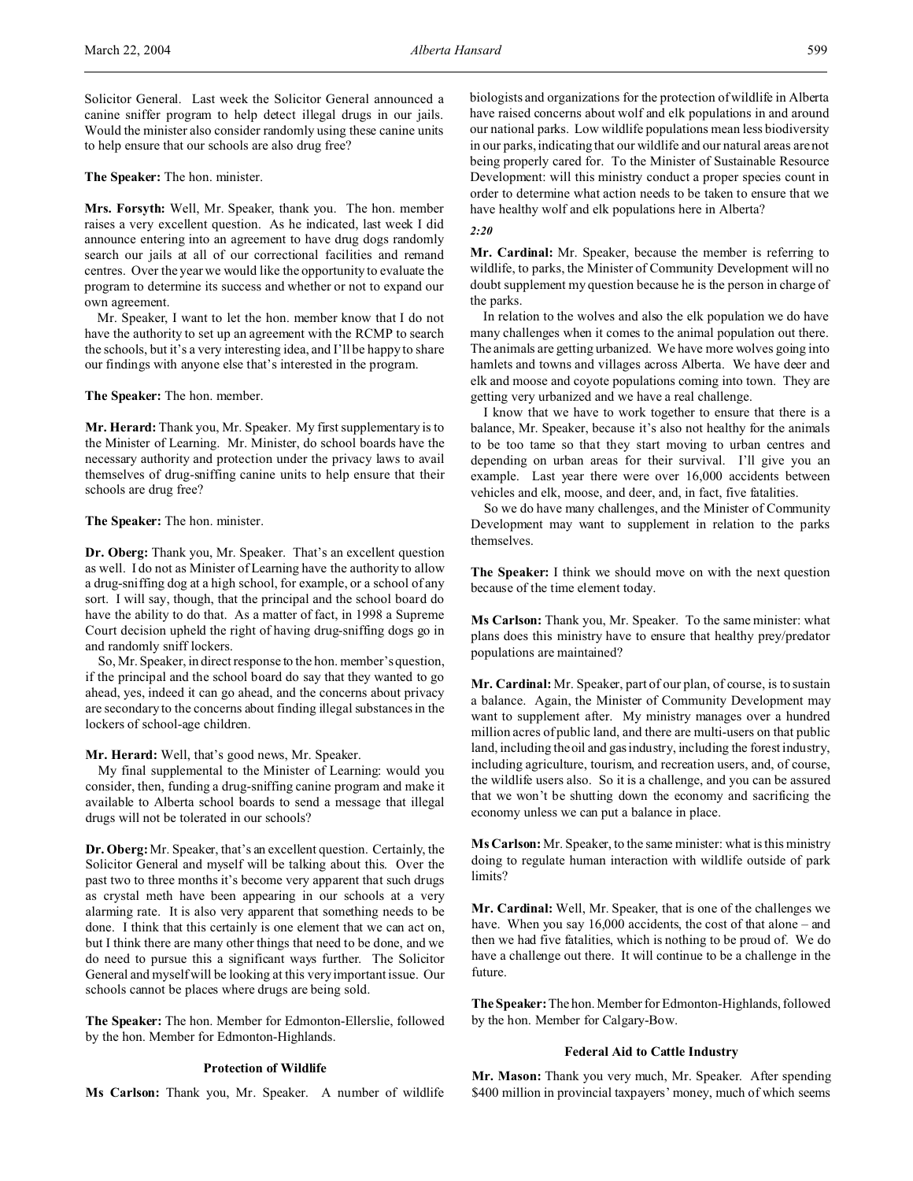Solicitor General. Last week the Solicitor General announced a canine sniffer program to help detect illegal drugs in our jails. Would the minister also consider randomly using these canine units to help ensure that our schools are also drug free?

# **The Speaker:** The hon. minister.

**Mrs. Forsyth:** Well, Mr. Speaker, thank you. The hon. member raises a very excellent question. As he indicated, last week I did announce entering into an agreement to have drug dogs randomly search our jails at all of our correctional facilities and remand centres. Over the year we would like the opportunity to evaluate the program to determine its success and whether or not to expand our own agreement.

Mr. Speaker, I want to let the hon. member know that I do not have the authority to set up an agreement with the RCMP to search the schools, but it's a very interesting idea, and I'll be happy to share our findings with anyone else that's interested in the program.

### **The Speaker:** The hon. member.

**Mr. Herard:** Thank you, Mr. Speaker. My first supplementary is to the Minister of Learning. Mr. Minister, do school boards have the necessary authority and protection under the privacy laws to avail themselves of drug-sniffing canine units to help ensure that their schools are drug free?

# **The Speaker:** The hon. minister.

**Dr. Oberg:** Thank you, Mr. Speaker. That's an excellent question as well. I do not as Minister of Learning have the authority to allow a drug-sniffing dog at a high school, for example, or a school of any sort. I will say, though, that the principal and the school board do have the ability to do that. As a matter of fact, in 1998 a Supreme Court decision upheld the right of having drug-sniffing dogs go in and randomly sniff lockers.

So, Mr. Speaker, in direct response to the hon. member's question, if the principal and the school board do say that they wanted to go ahead, yes, indeed it can go ahead, and the concerns about privacy are secondary to the concerns about finding illegal substances in the lockers of school-age children.

**Mr. Herard:** Well, that's good news, Mr. Speaker.

My final supplemental to the Minister of Learning: would you consider, then, funding a drug-sniffing canine program and make it available to Alberta school boards to send a message that illegal drugs will not be tolerated in our schools?

**Dr. Oberg:**Mr. Speaker, that's an excellent question. Certainly, the Solicitor General and myself will be talking about this. Over the past two to three months it's become very apparent that such drugs as crystal meth have been appearing in our schools at a very alarming rate. It is also very apparent that something needs to be done. I think that this certainly is one element that we can act on, but I think there are many other things that need to be done, and we do need to pursue this a significant ways further. The Solicitor General and myself will be looking at this very important issue. Our schools cannot be places where drugs are being sold.

**The Speaker:** The hon. Member for Edmonton-Ellerslie, followed by the hon. Member for Edmonton-Highlands.

### **Protection of Wildlife**

**Ms Carlson:** Thank you, Mr. Speaker. A number of wildlife

biologists and organizations for the protection of wildlife in Alberta have raised concerns about wolf and elk populations in and around our national parks. Low wildlife populations mean less biodiversity in our parks, indicating that our wildlife and our natural areas are not being properly cared for. To the Minister of Sustainable Resource Development: will this ministry conduct a proper species count in order to determine what action needs to be taken to ensure that we have healthy wolf and elk populations here in Alberta?

#### *2:20*

**Mr. Cardinal:** Mr. Speaker, because the member is referring to wildlife, to parks, the Minister of Community Development will no doubt supplement my question because he is the person in charge of the parks.

In relation to the wolves and also the elk population we do have many challenges when it comes to the animal population out there. The animals are getting urbanized. We have more wolves going into hamlets and towns and villages across Alberta. We have deer and elk and moose and coyote populations coming into town. They are getting very urbanized and we have a real challenge.

I know that we have to work together to ensure that there is a balance, Mr. Speaker, because it's also not healthy for the animals to be too tame so that they start moving to urban centres and depending on urban areas for their survival. I'll give you an example. Last year there were over 16,000 accidents between vehicles and elk, moose, and deer, and, in fact, five fatalities.

So we do have many challenges, and the Minister of Community Development may want to supplement in relation to the parks themselves.

**The Speaker:** I think we should move on with the next question because of the time element today.

**Ms Carlson:** Thank you, Mr. Speaker. To the same minister: what plans does this ministry have to ensure that healthy prey/predator populations are maintained?

**Mr. Cardinal:** Mr. Speaker, part of our plan, of course, is to sustain a balance. Again, the Minister of Community Development may want to supplement after. My ministry manages over a hundred million acres of public land, and there are multi-users on that public land, including the oil and gas industry, including the forest industry, including agriculture, tourism, and recreation users, and, of course, the wildlife users also. So it is a challenge, and you can be assured that we won't be shutting down the economy and sacrificing the economy unless we can put a balance in place.

**Ms Carlson:** Mr. Speaker, to the same minister: what is this ministry doing to regulate human interaction with wildlife outside of park limits?

**Mr. Cardinal:** Well, Mr. Speaker, that is one of the challenges we have. When you say 16,000 accidents, the cost of that alone – and then we had five fatalities, which is nothing to be proud of. We do have a challenge out there. It will continue to be a challenge in the future.

**The Speaker:** The hon. Member for Edmonton-Highlands, followed by the hon. Member for Calgary-Bow.

### **Federal Aid to Cattle Industry**

**Mr. Mason:** Thank you very much, Mr. Speaker. After spending \$400 million in provincial taxpayers' money, much of which seems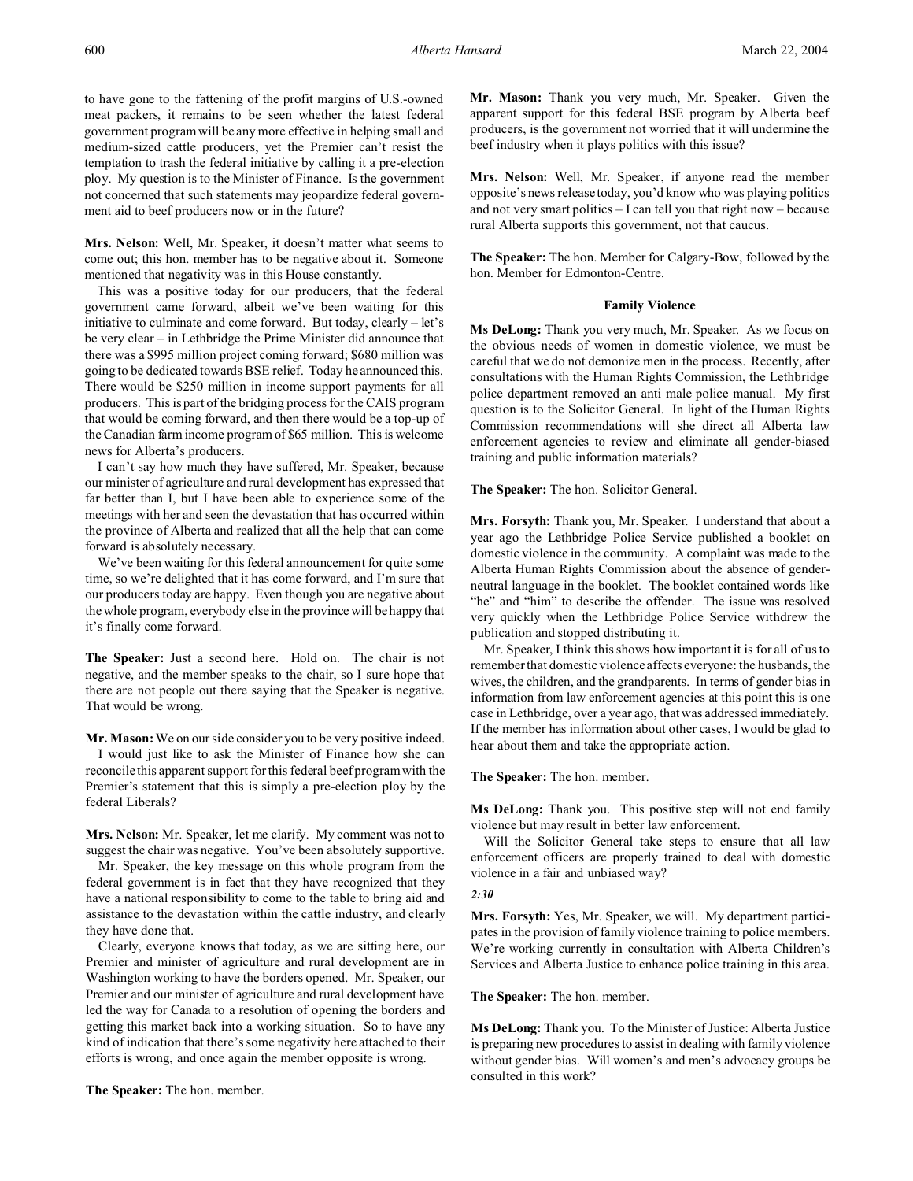to have gone to the fattening of the profit margins of U.S.-owned meat packers, it remains to be seen whether the latest federal government program will be any more effective in helping small and medium-sized cattle producers, yet the Premier can't resist the temptation to trash the federal initiative by calling it a pre-election ploy. My question is to the Minister of Finance. Is the government not concerned that such statements may jeopardize federal government aid to beef producers now or in the future?

**Mrs. Nelson:** Well, Mr. Speaker, it doesn't matter what seems to come out; this hon. member has to be negative about it. Someone mentioned that negativity was in this House constantly.

This was a positive today for our producers, that the federal government came forward, albeit we've been waiting for this initiative to culminate and come forward. But today, clearly – let's be very clear – in Lethbridge the Prime Minister did announce that there was a \$995 million project coming forward; \$680 million was going to be dedicated towards BSE relief. Today he announced this. There would be \$250 million in income support payments for all producers. This is part of the bridging process for the CAIS program that would be coming forward, and then there would be a top-up of the Canadian farm income program of \$65 million. This is welcome news for Alberta's producers.

I can't say how much they have suffered, Mr. Speaker, because our minister of agriculture and rural development has expressed that far better than I, but I have been able to experience some of the meetings with her and seen the devastation that has occurred within the province of Alberta and realized that all the help that can come forward is absolutely necessary.

We've been waiting for this federal announcement for quite some time, so we're delighted that it has come forward, and I'm sure that our producers today are happy. Even though you are negative about the whole program, everybody else in the province will be happy that it's finally come forward.

**The Speaker:** Just a second here. Hold on. The chair is not negative, and the member speaks to the chair, so I sure hope that there are not people out there saying that the Speaker is negative. That would be wrong.

**Mr. Mason:** We on our side consider you to be very positive indeed. I would just like to ask the Minister of Finance how she can reconcile this apparent support for this federal beef program with the Premier's statement that this is simply a pre-election ploy by the federal Liberals?

**Mrs. Nelson:** Mr. Speaker, let me clarify. My comment was not to suggest the chair was negative. You've been absolutely supportive.

Mr. Speaker, the key message on this whole program from the federal government is in fact that they have recognized that they have a national responsibility to come to the table to bring aid and assistance to the devastation within the cattle industry, and clearly they have done that.

Clearly, everyone knows that today, as we are sitting here, our Premier and minister of agriculture and rural development are in Washington working to have the borders opened. Mr. Speaker, our Premier and our minister of agriculture and rural development have led the way for Canada to a resolution of opening the borders and getting this market back into a working situation. So to have any kind of indication that there's some negativity here attached to their efforts is wrong, and once again the member opposite is wrong.

**The Speaker:** The hon. member.

**Mr. Mason:** Thank you very much, Mr. Speaker. Given the apparent support for this federal BSE program by Alberta beef producers, is the government not worried that it will undermine the beef industry when it plays politics with this issue?

**Mrs. Nelson:** Well, Mr. Speaker, if anyone read the member opposite's news release today, you'd know who was playing politics and not very smart politics – I can tell you that right now – because rural Alberta supports this government, not that caucus.

**The Speaker:** The hon. Member for Calgary-Bow, followed by the hon. Member for Edmonton-Centre.

# **Family Violence**

**Ms DeLong:** Thank you very much, Mr. Speaker. As we focus on the obvious needs of women in domestic violence, we must be careful that we do not demonize men in the process. Recently, after consultations with the Human Rights Commission, the Lethbridge police department removed an anti male police manual. My first question is to the Solicitor General. In light of the Human Rights Commission recommendations will she direct all Alberta law enforcement agencies to review and eliminate all gender-biased training and public information materials?

**The Speaker:** The hon. Solicitor General.

**Mrs. Forsyth:** Thank you, Mr. Speaker. I understand that about a year ago the Lethbridge Police Service published a booklet on domestic violence in the community. A complaint was made to the Alberta Human Rights Commission about the absence of genderneutral language in the booklet. The booklet contained words like "he" and "him" to describe the offender. The issue was resolved very quickly when the Lethbridge Police Service withdrew the publication and stopped distributing it.

Mr. Speaker, I think this shows how important it is for all of us to remember that domestic violence affects everyone: the husbands, the wives, the children, and the grandparents. In terms of gender bias in information from law enforcement agencies at this point this is one case in Lethbridge, over a year ago, that was addressed immediately. If the member has information about other cases, I would be glad to hear about them and take the appropriate action.

**The Speaker:** The hon. member.

**Ms DeLong:** Thank you. This positive step will not end family violence but may result in better law enforcement.

Will the Solicitor General take steps to ensure that all law enforcement officers are properly trained to deal with domestic violence in a fair and unbiased way?

#### *2:30*

**Mrs. Forsyth:** Yes, Mr. Speaker, we will. My department participates in the provision of family violence training to police members. We're working currently in consultation with Alberta Children's Services and Alberta Justice to enhance police training in this area.

**The Speaker:** The hon. member.

**Ms DeLong:** Thank you. To the Minister of Justice: Alberta Justice is preparing new procedures to assist in dealing with family violence without gender bias. Will women's and men's advocacy groups be consulted in this work?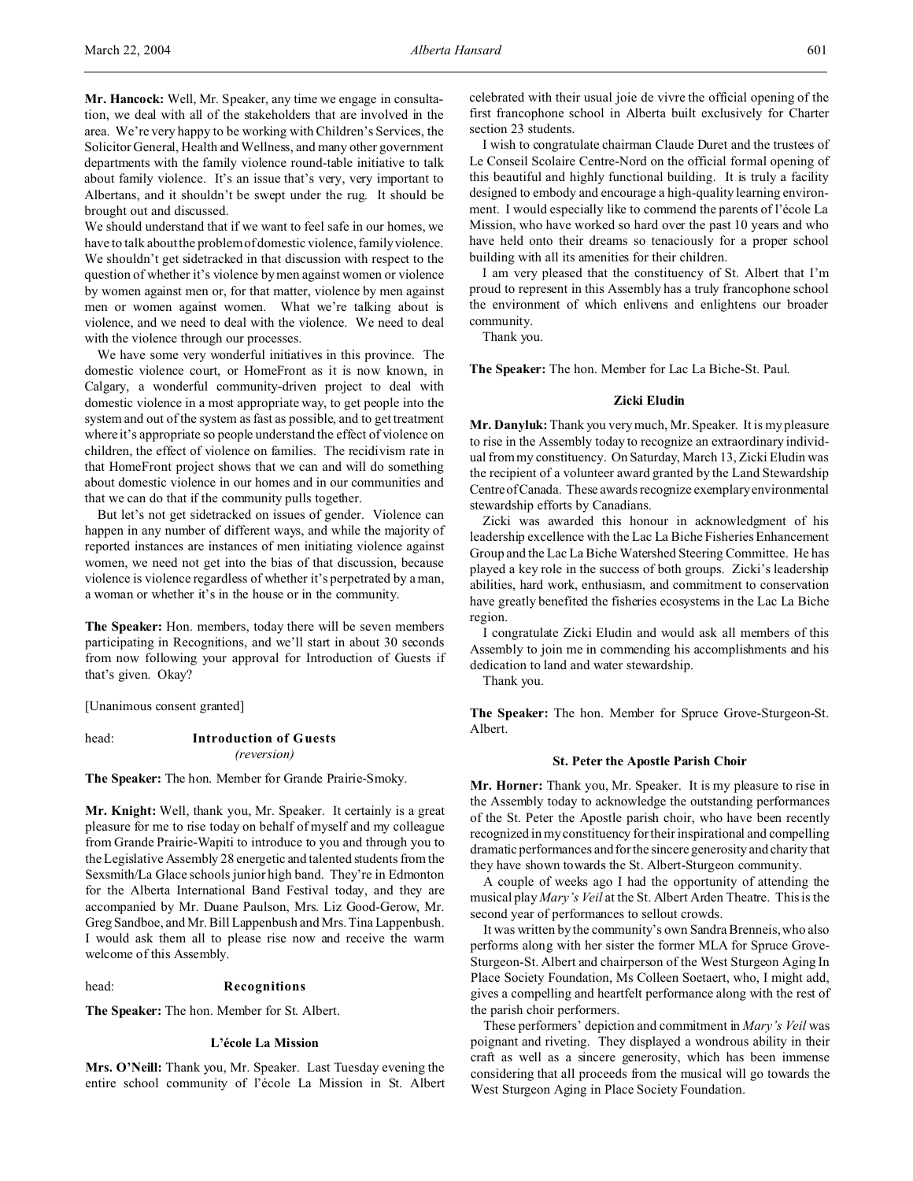**Mr. Hancock:** Well, Mr. Speaker, any time we engage in consultation, we deal with all of the stakeholders that are involved in the area. We're very happy to be working with Children's Services, the Solicitor General, Health and Wellness, and many other government departments with the family violence round-table initiative to talk about family violence. It's an issue that's very, very important to Albertans, and it shouldn't be swept under the rug. It should be brought out and discussed.

We should understand that if we want to feel safe in our homes, we have to talk about the problem of domestic violence, family violence. We shouldn't get sidetracked in that discussion with respect to the question of whether it's violence by men against women or violence by women against men or, for that matter, violence by men against men or women against women. What we're talking about is violence, and we need to deal with the violence. We need to deal with the violence through our processes.

We have some very wonderful initiatives in this province. The domestic violence court, or HomeFront as it is now known, in Calgary, a wonderful community-driven project to deal with domestic violence in a most appropriate way, to get people into the system and out of the system as fast as possible, and to get treatment where it's appropriate so people understand the effect of violence on children, the effect of violence on families. The recidivism rate in that HomeFront project shows that we can and will do something about domestic violence in our homes and in our communities and that we can do that if the community pulls together.

But let's not get sidetracked on issues of gender. Violence can happen in any number of different ways, and while the majority of reported instances are instances of men initiating violence against women, we need not get into the bias of that discussion, because violence is violence regardless of whether it's perpetrated by a man, a woman or whether it's in the house or in the community.

**The Speaker:** Hon. members, today there will be seven members participating in Recognitions, and we'll start in about 30 seconds from now following your approval for Introduction of Guests if that's given. Okay?

[Unanimous consent granted]

head: **Introduction of Guests** *(reversion)*

**The Speaker:** The hon. Member for Grande Prairie-Smoky.

**Mr. Knight:** Well, thank you, Mr. Speaker. It certainly is a great pleasure for me to rise today on behalf of myself and my colleague from Grande Prairie-Wapiti to introduce to you and through you to the Legislative Assembly 28 energetic and talented students from the Sexsmith/La Glace schools junior high band. They're in Edmonton for the Alberta International Band Festival today, and they are accompanied by Mr. Duane Paulson, Mrs. Liz Good-Gerow, Mr. Greg Sandboe, and Mr. Bill Lappenbush and Mrs. Tina Lappenbush. I would ask them all to please rise now and receive the warm welcome of this Assembly.

# head: **Recognitions**

**The Speaker:** The hon. Member for St. Albert.

### **L'école La Mission**

**Mrs. O'Neill:** Thank you, Mr. Speaker. Last Tuesday evening the entire school community of l'école La Mission in St. Albert celebrated with their usual joie de vivre the official opening of the first francophone school in Alberta built exclusively for Charter section 23 students.

I wish to congratulate chairman Claude Duret and the trustees of Le Conseil Scolaire Centre-Nord on the official formal opening of this beautiful and highly functional building. It is truly a facility designed to embody and encourage a high-quality learning environment. I would especially like to commend the parents of l'école La Mission, who have worked so hard over the past 10 years and who have held onto their dreams so tenaciously for a proper school building with all its amenities for their children.

I am very pleased that the constituency of St. Albert that I'm proud to represent in this Assembly has a truly francophone school the environment of which enlivens and enlightens our broader community.

Thank you.

**The Speaker:** The hon. Member for Lac La Biche-St. Paul.

# **Zicki Eludin**

**Mr. Danyluk:** Thank you very much, Mr. Speaker. It is my pleasure to rise in the Assembly today to recognize an extraordinary individual from my constituency. On Saturday, March 13, Zicki Eludin was the recipient of a volunteer award granted by the Land Stewardship CentreofCanada. These awards recognize exemplary environmental stewardship efforts by Canadians.

Zicki was awarded this honour in acknowledgment of his leadership excellence with the Lac La Biche Fisheries Enhancement Group and the Lac La Biche Watershed Steering Committee. He has played a key role in the success of both groups. Zicki's leadership abilities, hard work, enthusiasm, and commitment to conservation have greatly benefited the fisheries ecosystems in the Lac La Biche region.

I congratulate Zicki Eludin and would ask all members of this Assembly to join me in commending his accomplishments and his dedication to land and water stewardship.

Thank you.

**The Speaker:** The hon. Member for Spruce Grove-Sturgeon-St. Albert.

#### **St. Peter the Apostle Parish Choir**

**Mr. Horner:** Thank you, Mr. Speaker. It is my pleasure to rise in the Assembly today to acknowledge the outstanding performances of the St. Peter the Apostle parish choir, who have been recently recognized in my constituency for their inspirational and compelling dramatic performances and for the sincere generosity and charity that they have shown towards the St. Albert-Sturgeon community.

A couple of weeks ago I had the opportunity of attending the musical play *Mary's Veil* at the St. Albert Arden Theatre. This is the second year of performances to sellout crowds.

It was written by the community's own Sandra Brenneis, who also performs along with her sister the former MLA for Spruce Grove-Sturgeon-St. Albert and chairperson of the West Sturgeon Aging In Place Society Foundation, Ms Colleen Soetaert, who, I might add, gives a compelling and heartfelt performance along with the rest of the parish choir performers.

These performers' depiction and commitment in *Mary's Veil* was poignant and riveting. They displayed a wondrous ability in their craft as well as a sincere generosity, which has been immense considering that all proceeds from the musical will go towards the West Sturgeon Aging in Place Society Foundation.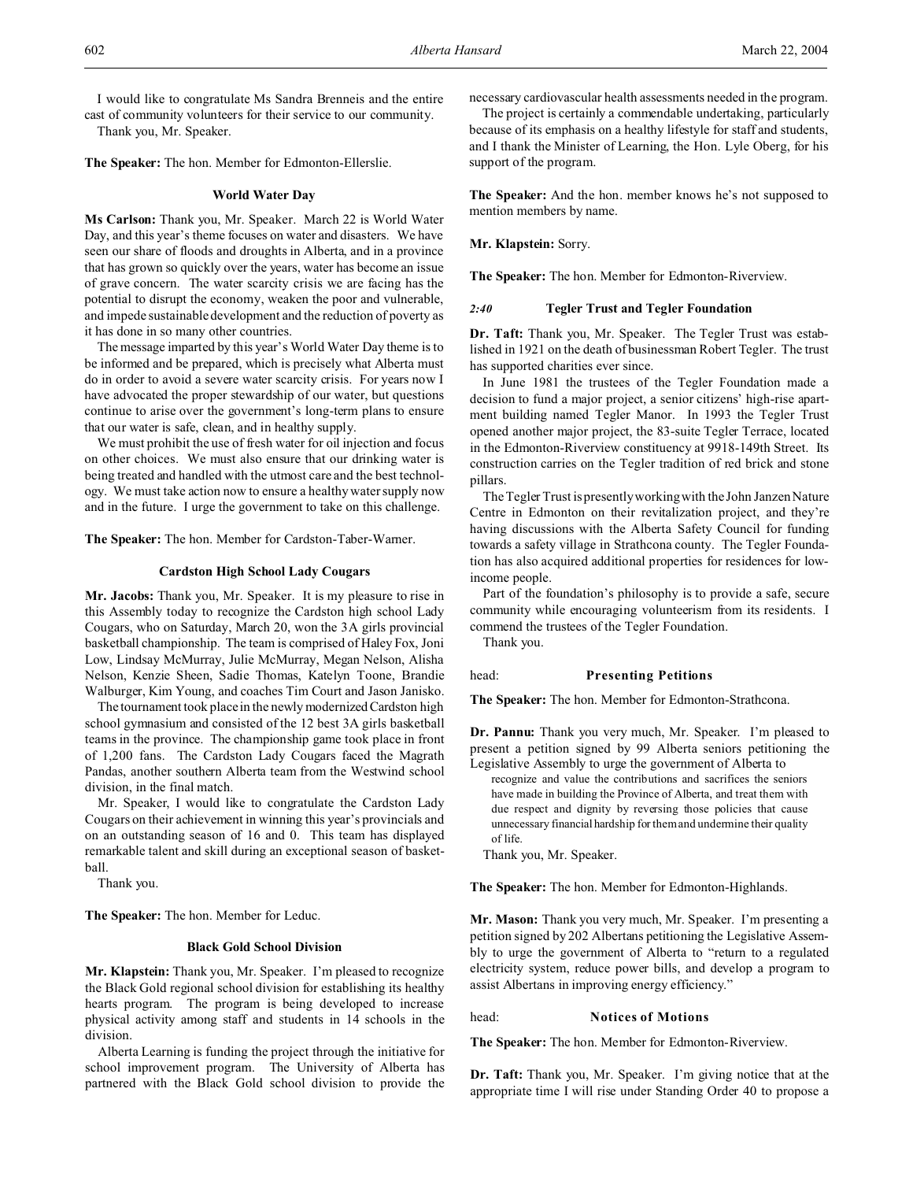I would like to congratulate Ms Sandra Brenneis and the entire cast of community volunteers for their service to our community.

Thank you, Mr. Speaker.

**The Speaker:** The hon. Member for Edmonton-Ellerslie.

### **World Water Day**

**Ms Carlson:** Thank you, Mr. Speaker. March 22 is World Water Day, and this year's theme focuses on water and disasters. We have seen our share of floods and droughts in Alberta, and in a province that has grown so quickly over the years, water has become an issue of grave concern. The water scarcity crisis we are facing has the potential to disrupt the economy, weaken the poor and vulnerable, and impede sustainable development and the reduction of poverty as it has done in so many other countries.

The message imparted by this year's World Water Day theme is to be informed and be prepared, which is precisely what Alberta must do in order to avoid a severe water scarcity crisis. For years now I have advocated the proper stewardship of our water, but questions continue to arise over the government's long-term plans to ensure that our water is safe, clean, and in healthy supply.

We must prohibit the use of fresh water for oil injection and focus on other choices. We must also ensure that our drinking water is being treated and handled with the utmost care and the best technology. We must take action now to ensure a healthy water supply now and in the future. I urge the government to take on this challenge.

**The Speaker:** The hon. Member for Cardston-Taber-Warner.

# **Cardston High School Lady Cougars**

**Mr. Jacobs:** Thank you, Mr. Speaker. It is my pleasure to rise in this Assembly today to recognize the Cardston high school Lady Cougars, who on Saturday, March 20, won the 3A girls provincial basketball championship. The team is comprised of Haley Fox, Joni Low, Lindsay McMurray, Julie McMurray, Megan Nelson, Alisha Nelson, Kenzie Sheen, Sadie Thomas, Katelyn Toone, Brandie Walburger, Kim Young, and coaches Tim Court and Jason Janisko.

The tournament took place in the newly modernized Cardston high school gymnasium and consisted of the 12 best 3A girls basketball teams in the province. The championship game took place in front of 1,200 fans. The Cardston Lady Cougars faced the Magrath Pandas, another southern Alberta team from the Westwind school division, in the final match.

Mr. Speaker, I would like to congratulate the Cardston Lady Cougars on their achievement in winning this year's provincials and on an outstanding season of 16 and 0. This team has displayed remarkable talent and skill during an exceptional season of basketball.

Thank you.

**The Speaker:** The hon. Member for Leduc.

#### **Black Gold School Division**

**Mr. Klapstein:** Thank you, Mr. Speaker. I'm pleased to recognize the Black Gold regional school division for establishing its healthy hearts program. The program is being developed to increase physical activity among staff and students in 14 schools in the division.

Alberta Learning is funding the project through the initiative for school improvement program. The University of Alberta has partnered with the Black Gold school division to provide the necessary cardiovascular health assessments needed in the program. The project is certainly a commendable undertaking, particularly

because of its emphasis on a healthy lifestyle for staff and students, and I thank the Minister of Learning, the Hon. Lyle Oberg, for his support of the program.

**The Speaker:** And the hon. member knows he's not supposed to mention members by name.

# **Mr. Klapstein:** Sorry.

**The Speaker:** The hon. Member for Edmonton-Riverview.

### *2:40* **Tegler Trust and Tegler Foundation**

**Dr. Taft:** Thank you, Mr. Speaker. The Tegler Trust was established in 1921 on the death of businessman Robert Tegler. The trust has supported charities ever since.

In June 1981 the trustees of the Tegler Foundation made a decision to fund a major project, a senior citizens' high-rise apartment building named Tegler Manor. In 1993 the Tegler Trust opened another major project, the 83-suite Tegler Terrace, located in the Edmonton-Riverview constituency at 9918-149th Street. Its construction carries on the Tegler tradition of red brick and stone pillars.

The Tegler Trust is presently working with the John Janzen Nature Centre in Edmonton on their revitalization project, and they're having discussions with the Alberta Safety Council for funding towards a safety village in Strathcona county. The Tegler Foundation has also acquired additional properties for residences for lowincome people.

Part of the foundation's philosophy is to provide a safe, secure community while encouraging volunteerism from its residents. I commend the trustees of the Tegler Foundation.

Thank you.

#### head: **Presenting Petitions**

**The Speaker:** The hon. Member for Edmonton-Strathcona.

**Dr. Pannu:** Thank you very much, Mr. Speaker. I'm pleased to present a petition signed by 99 Alberta seniors petitioning the Legislative Assembly to urge the government of Alberta to

recognize and value the contributions and sacrifices the seniors have made in building the Province of Alberta, and treat them with due respect and dignity by reversing those policies that cause unnecessary financial hardship for them and undermine their quality of life.

Thank you, Mr. Speaker.

**The Speaker:** The hon. Member for Edmonton-Highlands.

**Mr. Mason:** Thank you very much, Mr. Speaker. I'm presenting a petition signed by 202 Albertans petitioning the Legislative Assembly to urge the government of Alberta to "return to a regulated electricity system, reduce power bills, and develop a program to assist Albertans in improving energy efficiency."

### head: **Notices of Motions**

**The Speaker:** The hon. Member for Edmonton-Riverview.

**Dr. Taft:** Thank you, Mr. Speaker. I'm giving notice that at the appropriate time I will rise under Standing Order 40 to propose a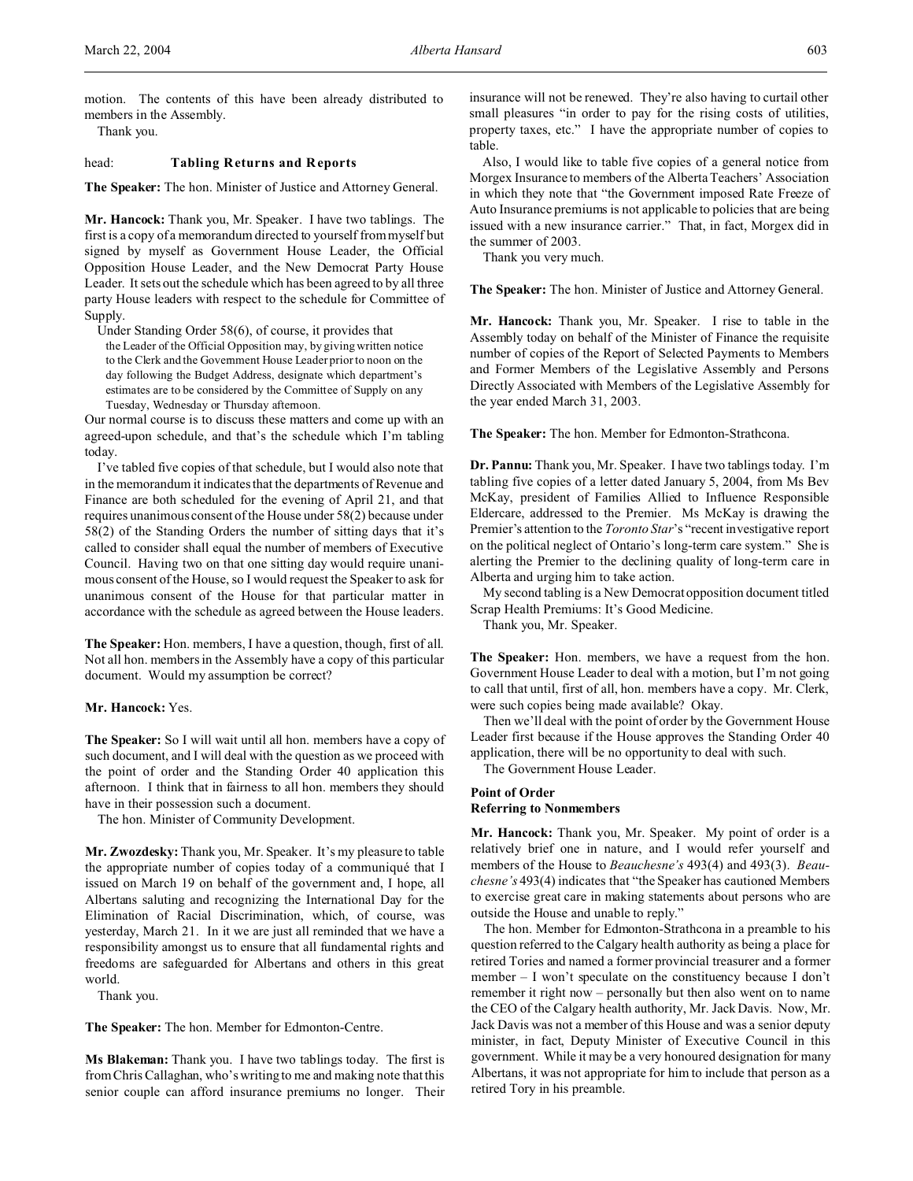Thank you.

# head: **Tabling Returns and Reports**

**The Speaker:** The hon. Minister of Justice and Attorney General.

**Mr. Hancock:** Thank you, Mr. Speaker. I have two tablings. The first is a copy of a memorandum directed to yourself from myself but signed by myself as Government House Leader, the Official Opposition House Leader, and the New Democrat Party House Leader. It sets out the schedule which has been agreed to by all three party House leaders with respect to the schedule for Committee of Supply.

Under Standing Order 58(6), of course, it provides that the Leader of the Official Opposition may, by giving written notice to the Clerk and the Government House Leader prior to noon on the day following the Budget Address, designate which department's estimates are to be considered by the Committee of Supply on any Tuesday, Wednesday or Thursday afternoon.

Our normal course is to discuss these matters and come up with an agreed-upon schedule, and that's the schedule which I'm tabling today.

I've tabled five copies of that schedule, but I would also note that in the memorandum it indicates that the departments of Revenue and Finance are both scheduled for the evening of April 21, and that requires unanimous consent of the House under 58(2) because under 58(2) of the Standing Orders the number of sitting days that it's called to consider shall equal the number of members of Executive Council. Having two on that one sitting day would require unanimous consent of the House, so I would request the Speaker to ask for unanimous consent of the House for that particular matter in accordance with the schedule as agreed between the House leaders.

**The Speaker:** Hon. members, I have a question, though, first of all. Not all hon. members in the Assembly have a copy of this particular document. Would my assumption be correct?

## **Mr. Hancock:** Yes.

**The Speaker:** So I will wait until all hon. members have a copy of such document, and I will deal with the question as we proceed with the point of order and the Standing Order 40 application this afternoon. I think that in fairness to all hon. members they should have in their possession such a document.

The hon. Minister of Community Development.

**Mr. Zwozdesky:** Thank you, Mr. Speaker. It's my pleasure to table the appropriate number of copies today of a communiqué that I issued on March 19 on behalf of the government and, I hope, all Albertans saluting and recognizing the International Day for the Elimination of Racial Discrimination, which, of course, was yesterday, March 21. In it we are just all reminded that we have a responsibility amongst us to ensure that all fundamental rights and freedoms are safeguarded for Albertans and others in this great world.

Thank you.

**The Speaker:** The hon. Member for Edmonton-Centre.

**Ms Blakeman:** Thank you. I have two tablings today. The first is from Chris Callaghan, who's writing to me and making note that this senior couple can afford insurance premiums no longer. Their insurance will not be renewed. They're also having to curtail other small pleasures "in order to pay for the rising costs of utilities, property taxes, etc." I have the appropriate number of copies to table.

Also, I would like to table five copies of a general notice from Morgex Insurance to members of the Alberta Teachers' Association in which they note that "the Government imposed Rate Freeze of Auto Insurance premiums is not applicable to policies that are being issued with a new insurance carrier." That, in fact, Morgex did in the summer of 2003.

Thank you very much.

**The Speaker:** The hon. Minister of Justice and Attorney General.

**Mr. Hancock:** Thank you, Mr. Speaker. I rise to table in the Assembly today on behalf of the Minister of Finance the requisite number of copies of the Report of Selected Payments to Members and Former Members of the Legislative Assembly and Persons Directly Associated with Members of the Legislative Assembly for the year ended March 31, 2003.

**The Speaker:** The hon. Member for Edmonton-Strathcona.

**Dr. Pannu:** Thank you, Mr. Speaker. I have two tablings today. I'm tabling five copies of a letter dated January 5, 2004, from Ms Bev McKay, president of Families Allied to Influence Responsible Eldercare, addressed to the Premier. Ms McKay is drawing the Premier's attention to the *Toronto Star*'s "recent investigative report on the political neglect of Ontario's long-term care system." She is alerting the Premier to the declining quality of long-term care in Alberta and urging him to take action.

My second tabling is a New Democrat opposition document titled Scrap Health Premiums: It's Good Medicine.

Thank you, Mr. Speaker.

**The Speaker:** Hon. members, we have a request from the hon. Government House Leader to deal with a motion, but I'm not going to call that until, first of all, hon. members have a copy. Mr. Clerk, were such copies being made available? Okay.

Then we'll deal with the point of order by the Government House Leader first because if the House approves the Standing Order 40 application, there will be no opportunity to deal with such.

The Government House Leader.

# **Point of Order Referring to Nonmembers**

**Mr. Hancock:** Thank you, Mr. Speaker. My point of order is a relatively brief one in nature, and I would refer yourself and members of the House to *Beauchesne's* 493(4) and 493(3). *Beauchesne's* 493(4) indicates that "the Speaker has cautioned Members to exercise great care in making statements about persons who are outside the House and unable to reply."

The hon. Member for Edmonton-Strathcona in a preamble to his question referred to the Calgary health authority as being a place for retired Tories and named a former provincial treasurer and a former member – I won't speculate on the constituency because I don't remember it right now – personally but then also went on to name the CEO of the Calgary health authority, Mr. Jack Davis. Now, Mr. Jack Davis was not a member of this House and was a senior deputy minister, in fact, Deputy Minister of Executive Council in this government. While it may be a very honoured designation for many Albertans, it was not appropriate for him to include that person as a retired Tory in his preamble.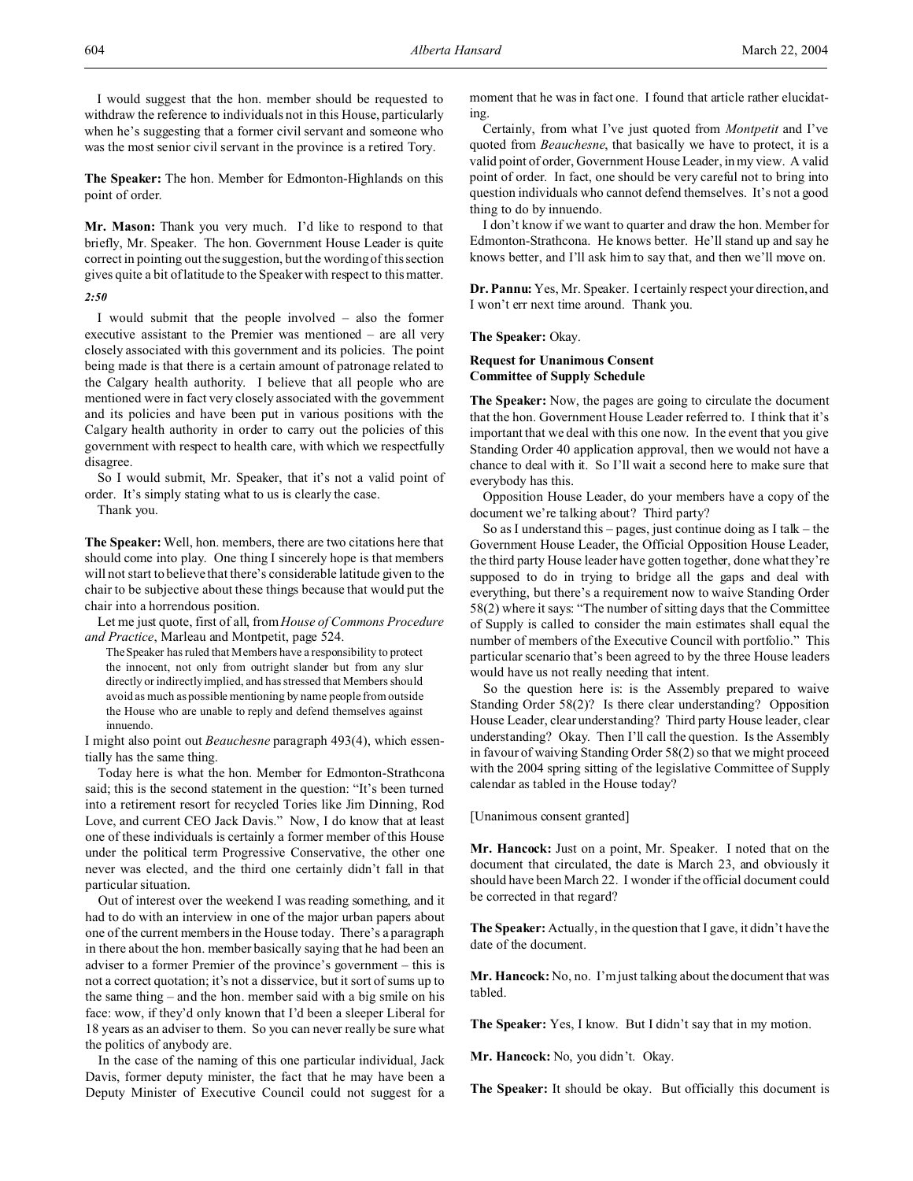**The Speaker:** The hon. Member for Edmonton-Highlands on this point of order.

**Mr. Mason:** Thank you very much. I'd like to respond to that briefly, Mr. Speaker. The hon. Government House Leader is quite correct in pointing out the suggestion, but the wording of this section gives quite a bit of latitude to the Speaker with respect to this matter. *2:50*

I would submit that the people involved – also the former executive assistant to the Premier was mentioned – are all very closely associated with this government and its policies. The point being made is that there is a certain amount of patronage related to the Calgary health authority. I believe that all people who are mentioned were in fact very closely associated with the government and its policies and have been put in various positions with the Calgary health authority in order to carry out the policies of this government with respect to health care, with which we respectfully

disagree. So I would submit, Mr. Speaker, that it's not a valid point of order. It's simply stating what to us is clearly the case.

Thank you.

**The Speaker:** Well, hon. members, there are two citations here that should come into play. One thing I sincerely hope is that members will not start to believe that there's considerable latitude given to the chair to be subjective about these things because that would put the chair into a horrendous position.

Let me just quote, first of all, from*House of Commons Procedure and Practice*, Marleau and Montpetit, page 524.

The Speaker has ruled that Members have a responsibility to protect the innocent, not only from outright slander but from any slur directly or indirectly implied, and has stressed that Members should avoid as much as possible mentioning by name people from outside the House who are unable to reply and defend themselves against innuendo.

I might also point out *Beauchesne* paragraph 493(4), which essentially has the same thing.

Today here is what the hon. Member for Edmonton-Strathcona said; this is the second statement in the question: "It's been turned into a retirement resort for recycled Tories like Jim Dinning, Rod Love, and current CEO Jack Davis." Now, I do know that at least one of these individuals is certainly a former member of this House under the political term Progressive Conservative, the other one never was elected, and the third one certainly didn't fall in that particular situation.

Out of interest over the weekend I was reading something, and it had to do with an interview in one of the major urban papers about one of the current members in the House today. There's a paragraph in there about the hon. member basically saying that he had been an adviser to a former Premier of the province's government – this is not a correct quotation; it's not a disservice, but it sort of sums up to the same thing – and the hon. member said with a big smile on his face: wow, if they'd only known that I'd been a sleeper Liberal for 18 years as an adviser to them. So you can never really be sure what the politics of anybody are.

In the case of the naming of this one particular individual, Jack Davis, former deputy minister, the fact that he may have been a Deputy Minister of Executive Council could not suggest for a moment that he was in fact one. I found that article rather elucidating.

Certainly, from what I've just quoted from *Montpetit* and I've quoted from *Beauchesne*, that basically we have to protect, it is a valid point of order, Government House Leader, in my view. A valid point of order. In fact, one should be very careful not to bring into question individuals who cannot defend themselves. It's not a good thing to do by innuendo.

I don't know if we want to quarter and draw the hon. Member for Edmonton-Strathcona. He knows better. He'll stand up and say he knows better, and I'll ask him to say that, and then we'll move on.

**Dr. Pannu:** Yes, Mr. Speaker. I certainly respect your direction, and I won't err next time around. Thank you.

### **The Speaker:** Okay.

# **Request for Unanimous Consent Committee of Supply Schedule**

**The Speaker:** Now, the pages are going to circulate the document that the hon. Government House Leader referred to. I think that it's important that we deal with this one now. In the event that you give Standing Order 40 application approval, then we would not have a chance to deal with it. So I'll wait a second here to make sure that everybody has this.

Opposition House Leader, do your members have a copy of the document we're talking about? Third party?

So as I understand this  $-$  pages, just continue doing as I talk  $-$  the Government House Leader, the Official Opposition House Leader, the third party House leader have gotten together, done what they're supposed to do in trying to bridge all the gaps and deal with everything, but there's a requirement now to waive Standing Order 58(2) where it says: "The number of sitting days that the Committee of Supply is called to consider the main estimates shall equal the number of members of the Executive Council with portfolio." This particular scenario that's been agreed to by the three House leaders would have us not really needing that intent.

So the question here is: is the Assembly prepared to waive Standing Order 58(2)? Is there clear understanding? Opposition House Leader, clear understanding? Third party House leader, clear understanding? Okay. Then I'll call the question. Is the Assembly in favour of waiving Standing Order 58(2) so that we might proceed with the 2004 spring sitting of the legislative Committee of Supply calendar as tabled in the House today?

[Unanimous consent granted]

**Mr. Hancock:** Just on a point, Mr. Speaker. I noted that on the document that circulated, the date is March 23, and obviously it should have been March 22. I wonder if the official document could be corrected in that regard?

**The Speaker:** Actually, in the question that I gave, it didn't have the date of the document.

**Mr. Hancock:** No, no. I'm just talking about the document that was tabled.

**The Speaker:** Yes, I know. But I didn't say that in my motion.

**Mr. Hancock:** No, you didn't. Okay.

**The Speaker:** It should be okay. But officially this document is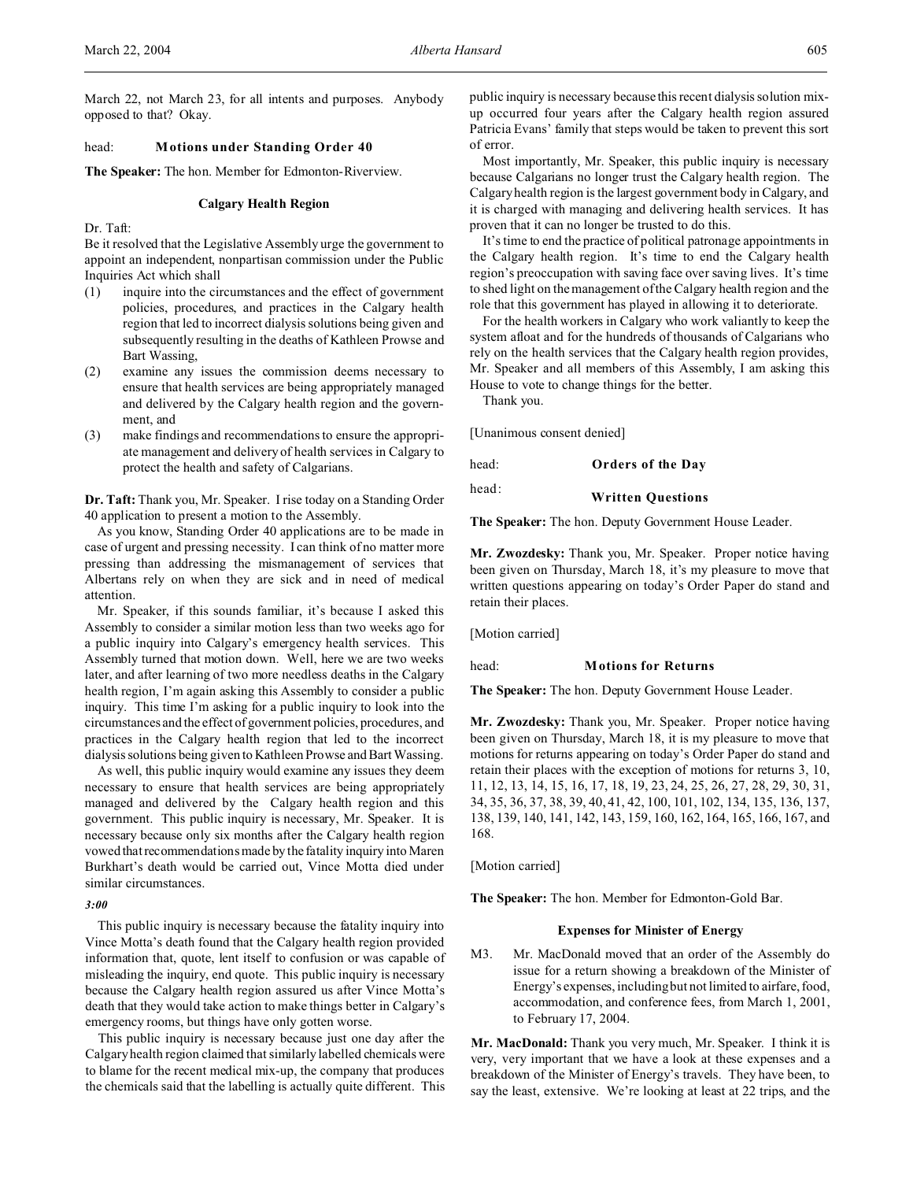# head: **Motions under Standing Order 40**

**The Speaker:** The hon. Member for Edmonton-Riverview.

# **Calgary Health Region**

Dr. Taft:

Be it resolved that the Legislative Assembly urge the government to appoint an independent, nonpartisan commission under the Public Inquiries Act which shall

- (1) inquire into the circumstances and the effect of government policies, procedures, and practices in the Calgary health region that led to incorrect dialysis solutions being given and subsequently resulting in the deaths of Kathleen Prowse and Bart Wassing,
- (2) examine any issues the commission deems necessary to ensure that health services are being appropriately managed and delivered by the Calgary health region and the government, and
- (3) make findings and recommendations to ensure the appropriate management and delivery of health services in Calgary to protect the health and safety of Calgarians.

**Dr. Taft:** Thank you, Mr. Speaker. I rise today on a Standing Order 40 application to present a motion to the Assembly.

As you know, Standing Order 40 applications are to be made in case of urgent and pressing necessity. I can think of no matter more pressing than addressing the mismanagement of services that Albertans rely on when they are sick and in need of medical attention.

Mr. Speaker, if this sounds familiar, it's because I asked this Assembly to consider a similar motion less than two weeks ago for a public inquiry into Calgary's emergency health services. This Assembly turned that motion down. Well, here we are two weeks later, and after learning of two more needless deaths in the Calgary health region, I'm again asking this Assembly to consider a public inquiry. This time I'm asking for a public inquiry to look into the circumstances and the effect of government policies, procedures, and practices in the Calgary health region that led to the incorrect dialysis solutions being given to Kathleen Prowse and Bart Wassing.

As well, this public inquiry would examine any issues they deem necessary to ensure that health services are being appropriately managed and delivered by the Calgary health region and this government. This public inquiry is necessary, Mr. Speaker. It is necessary because only six months after the Calgary health region vowed that recommendations made by the fatality inquiry into Maren Burkhart's death would be carried out, Vince Motta died under similar circumstances.

#### *3:00*

This public inquiry is necessary because the fatality inquiry into Vince Motta's death found that the Calgary health region provided information that, quote, lent itself to confusion or was capable of misleading the inquiry, end quote. This public inquiry is necessary because the Calgary health region assured us after Vince Motta's death that they would take action to make things better in Calgary's emergency rooms, but things have only gotten worse.

This public inquiry is necessary because just one day after the Calgary health region claimed that similarly labelled chemicals were to blame for the recent medical mix-up, the company that produces the chemicals said that the labelling is actually quite different. This

public inquiry is necessary because this recent dialysis solution mixup occurred four years after the Calgary health region assured Patricia Evans' family that steps would be taken to prevent this sort of error.

Most importantly, Mr. Speaker, this public inquiry is necessary because Calgarians no longer trust the Calgary health region. The Calgary health region is the largest government body in Calgary, and it is charged with managing and delivering health services. It has proven that it can no longer be trusted to do this.

It's time to end the practice of political patronage appointments in the Calgary health region. It's time to end the Calgary health region's preoccupation with saving face over saving lives. It's time to shed light on the management of the Calgary health region and the role that this government has played in allowing it to deteriorate.

For the health workers in Calgary who work valiantly to keep the system afloat and for the hundreds of thousands of Calgarians who rely on the health services that the Calgary health region provides, Mr. Speaker and all members of this Assembly, I am asking this House to vote to change things for the better.

Thank you.

[Unanimous consent denied]

head: **Orders of the Day**

# head: **Written Questions**

**The Speaker:** The hon. Deputy Government House Leader.

**Mr. Zwozdesky:** Thank you, Mr. Speaker. Proper notice having been given on Thursday, March 18, it's my pleasure to move that written questions appearing on today's Order Paper do stand and retain their places.

[Motion carried]

#### head: **Motions for Returns**

**The Speaker:** The hon. Deputy Government House Leader.

**Mr. Zwozdesky:** Thank you, Mr. Speaker. Proper notice having been given on Thursday, March 18, it is my pleasure to move that motions for returns appearing on today's Order Paper do stand and retain their places with the exception of motions for returns 3, 10, 11, 12, 13, 14, 15, 16, 17, 18, 19, 23, 24, 25, 26, 27, 28, 29, 30, 31, 34, 35, 36, 37, 38, 39, 40, 41, 42, 100, 101, 102, 134, 135, 136, 137, 138, 139, 140, 141, 142, 143, 159, 160, 162, 164, 165, 166, 167, and 168.

[Motion carried]

**The Speaker:** The hon. Member for Edmonton-Gold Bar.

#### **Expenses for Minister of Energy**

M3. Mr. MacDonald moved that an order of the Assembly do issue for a return showing a breakdown of the Minister of Energy's expenses, including but not limited to airfare, food, accommodation, and conference fees, from March 1, 2001, to February 17, 2004.

**Mr. MacDonald:** Thank you very much, Mr. Speaker. I think it is very, very important that we have a look at these expenses and a breakdown of the Minister of Energy's travels. They have been, to say the least, extensive. We're looking at least at 22 trips, and the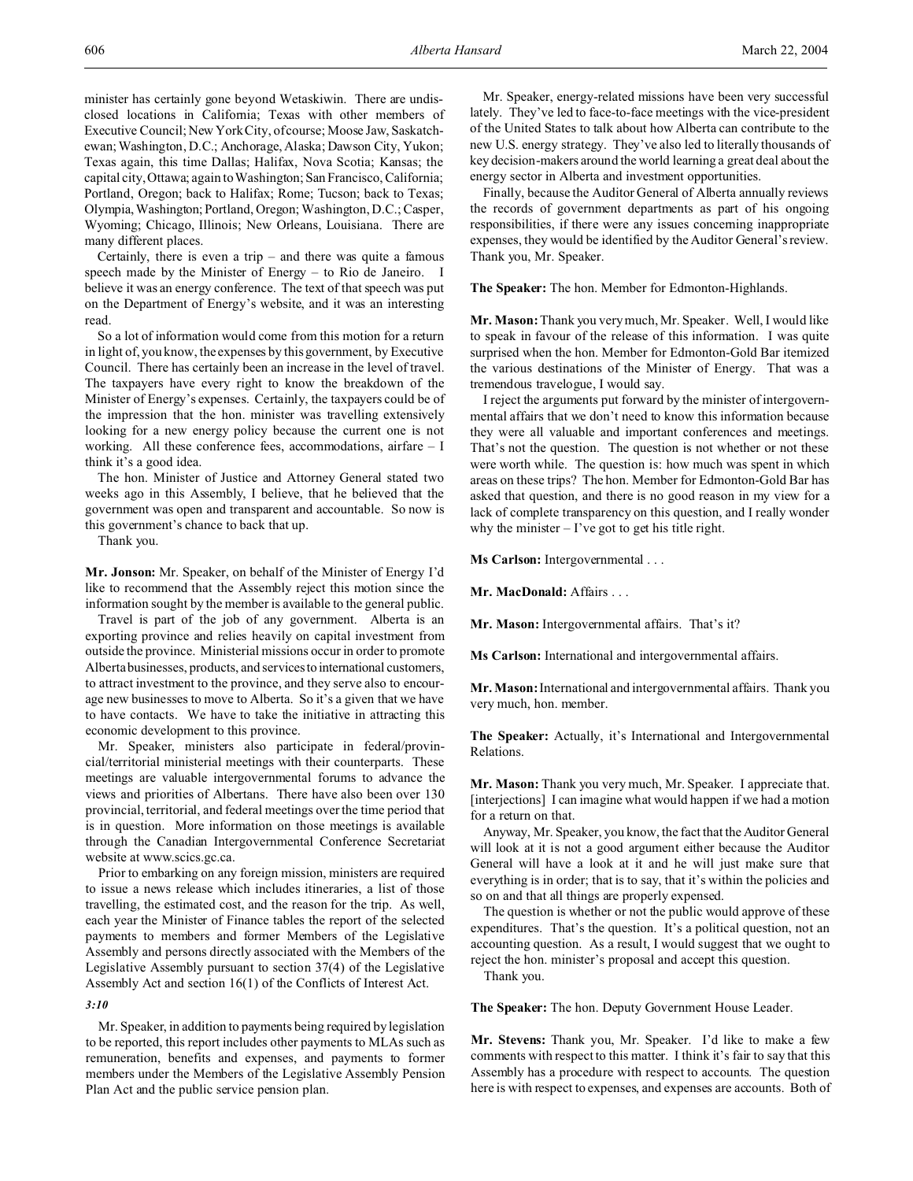minister has certainly gone beyond Wetaskiwin. There are undisclosed locations in California; Texas with other members of Executive Council; New York City, of course; Moose Jaw, Saskatchewan; Washington, D.C.; Anchorage, Alaska; Dawson City, Yukon; Texas again, this time Dallas; Halifax, Nova Scotia; Kansas; the capital city, Ottawa; again to Washington; San Francisco, California; Portland, Oregon; back to Halifax; Rome; Tucson; back to Texas; Olympia,Washington;Portland, Oregon; Washington, D.C.; Casper, Wyoming; Chicago, Illinois; New Orleans, Louisiana. There are many different places.

Certainly, there is even a trip – and there was quite a famous speech made by the Minister of Energy – to Rio de Janeiro. I believe it was an energy conference. The text of that speech was put on the Department of Energy's website, and it was an interesting read.

So a lot of information would come from this motion for a return in light of, you know, the expenses by this government, by Executive Council. There has certainly been an increase in the level of travel. The taxpayers have every right to know the breakdown of the Minister of Energy's expenses. Certainly, the taxpayers could be of the impression that the hon. minister was travelling extensively looking for a new energy policy because the current one is not working. All these conference fees, accommodations, airfare – I think it's a good idea.

The hon. Minister of Justice and Attorney General stated two weeks ago in this Assembly, I believe, that he believed that the government was open and transparent and accountable. So now is this government's chance to back that up.

Thank you.

**Mr. Jonson:** Mr. Speaker, on behalf of the Minister of Energy I'd like to recommend that the Assembly reject this motion since the information sought by the member is available to the general public.

Travel is part of the job of any government. Alberta is an exporting province and relies heavily on capital investment from outside the province. Ministerial missions occur in order to promote Alberta businesses, products, and servicesto international customers, to attract investment to the province, and they serve also to encourage new businesses to move to Alberta. So it's a given that we have to have contacts. We have to take the initiative in attracting this economic development to this province.

Mr. Speaker, ministers also participate in federal/provincial/territorial ministerial meetings with their counterparts. These meetings are valuable intergovernmental forums to advance the views and priorities of Albertans. There have also been over 130 provincial, territorial, and federal meetings over the time period that is in question. More information on those meetings is available through the Canadian Intergovernmental Conference Secretariat website at www.scics.gc.ca.

Prior to embarking on any foreign mission, ministers are required to issue a news release which includes itineraries, a list of those travelling, the estimated cost, and the reason for the trip. As well, each year the Minister of Finance tables the report of the selected payments to members and former Members of the Legislative Assembly and persons directly associated with the Members of the Legislative Assembly pursuant to section 37(4) of the Legislative Assembly Act and section 16(1) of the Conflicts of Interest Act.

#### *3:10*

Mr. Speaker, in addition to payments being required by legislation to be reported, this report includes other payments to MLAs such as remuneration, benefits and expenses, and payments to former members under the Members of the Legislative Assembly Pension Plan Act and the public service pension plan.

Mr. Speaker, energy-related missions have been very successful lately. They've led to face-to-face meetings with the vice-president of the United States to talk about how Alberta can contribute to the new U.S. energy strategy. They've also led to literally thousands of key decision-makers around the world learning a great deal about the energy sector in Alberta and investment opportunities.

Finally, because the Auditor General of Alberta annually reviews the records of government departments as part of his ongoing responsibilities, if there were any issues concerning inappropriate expenses, they would be identified by the Auditor General's review. Thank you, Mr. Speaker.

**The Speaker:** The hon. Member for Edmonton-Highlands.

**Mr. Mason:** Thank you very much, Mr. Speaker. Well, I would like to speak in favour of the release of this information. I was quite surprised when the hon. Member for Edmonton-Gold Bar itemized the various destinations of the Minister of Energy. That was a tremendous travelogue, I would say.

I reject the arguments put forward by the minister of intergovernmental affairs that we don't need to know this information because they were all valuable and important conferences and meetings. That's not the question. The question is not whether or not these were worth while. The question is: how much was spent in which areas on these trips? The hon. Member for Edmonton-Gold Bar has asked that question, and there is no good reason in my view for a lack of complete transparency on this question, and I really wonder why the minister  $-$  I've got to get his title right.

**Ms Carlson:** Intergovernmental . . .

**Mr. MacDonald:** Affairs . . .

**Mr. Mason:** Intergovernmental affairs. That's it?

**Ms Carlson:** International and intergovernmental affairs.

**Mr. Mason:** International and intergovernmental affairs. Thank you very much, hon. member.

**The Speaker:** Actually, it's International and Intergovernmental Relations.

**Mr. Mason:** Thank you very much, Mr. Speaker. I appreciate that. [interjections] I can imagine what would happen if we had a motion for a return on that.

Anyway, Mr. Speaker, you know, the fact that the Auditor General will look at it is not a good argument either because the Auditor General will have a look at it and he will just make sure that everything is in order; that is to say, that it's within the policies and so on and that all things are properly expensed.

The question is whether or not the public would approve of these expenditures. That's the question. It's a political question, not an accounting question. As a result, I would suggest that we ought to reject the hon. minister's proposal and accept this question. Thank you.

**The Speaker:** The hon. Deputy Government House Leader.

**Mr. Stevens:** Thank you, Mr. Speaker. I'd like to make a few comments with respect to this matter. I think it's fair to say that this Assembly has a procedure with respect to accounts. The question here is with respect to expenses, and expenses are accounts. Both of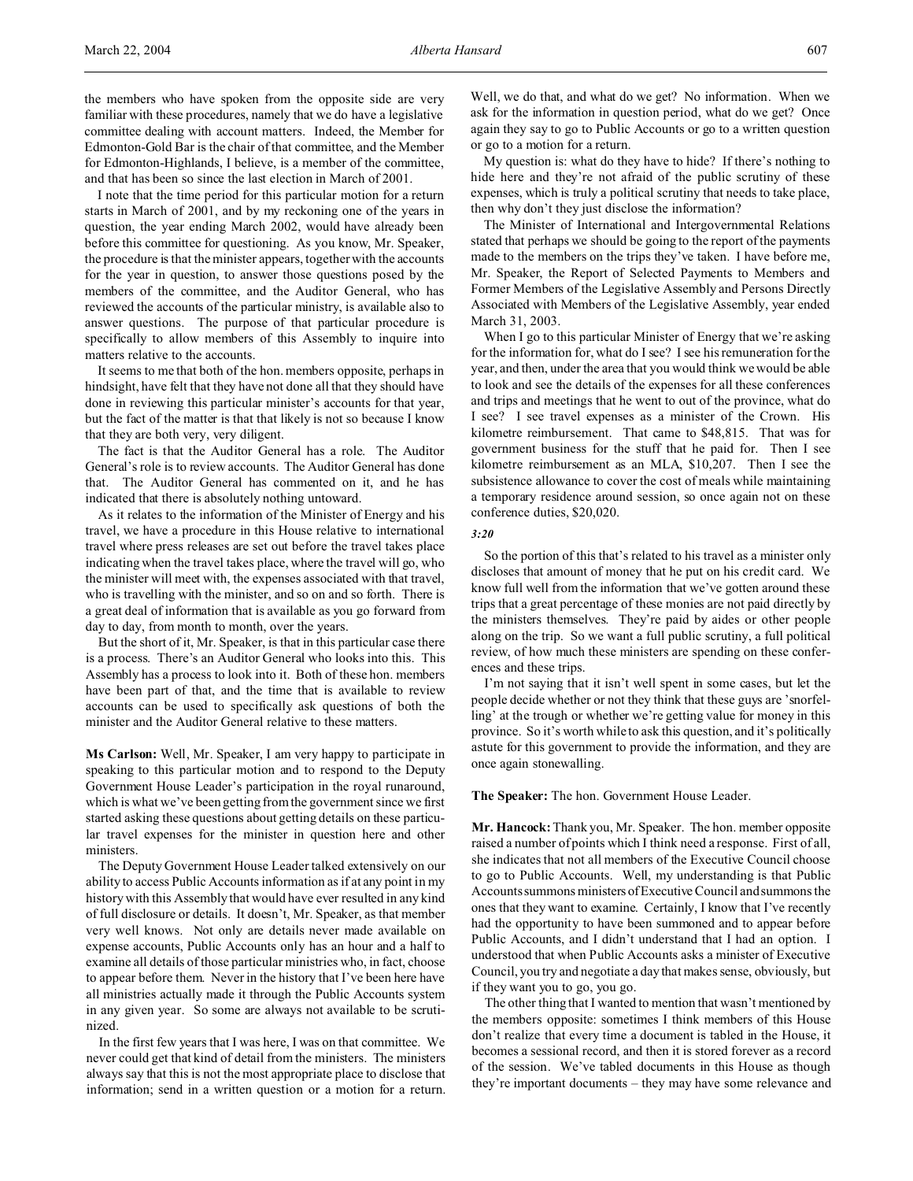the members who have spoken from the opposite side are very familiar with these procedures, namely that we do have a legislative committee dealing with account matters. Indeed, the Member for Edmonton-Gold Bar is the chair of that committee, and the Member for Edmonton-Highlands, I believe, is a member of the committee, and that has been so since the last election in March of 2001.

I note that the time period for this particular motion for a return starts in March of 2001, and by my reckoning one of the years in question, the year ending March 2002, would have already been before this committee for questioning. As you know, Mr. Speaker, the procedure is that the minister appears, together with the accounts for the year in question, to answer those questions posed by the members of the committee, and the Auditor General, who has reviewed the accounts of the particular ministry, is available also to answer questions. The purpose of that particular procedure is specifically to allow members of this Assembly to inquire into matters relative to the accounts.

It seems to me that both of the hon. members opposite, perhaps in hindsight, have felt that they have not done all that they should have done in reviewing this particular minister's accounts for that year, but the fact of the matter is that that likely is not so because I know that they are both very, very diligent.

The fact is that the Auditor General has a role. The Auditor General's role is to review accounts. The Auditor General has done that. The Auditor General has commented on it, and he has indicated that there is absolutely nothing untoward.

As it relates to the information of the Minister of Energy and his travel, we have a procedure in this House relative to international travel where press releases are set out before the travel takes place indicating when the travel takes place, where the travel will go, who the minister will meet with, the expenses associated with that travel, who is travelling with the minister, and so on and so forth. There is a great deal of information that is available as you go forward from day to day, from month to month, over the years.

But the short of it, Mr. Speaker, is that in this particular case there is a process. There's an Auditor General who looks into this. This Assembly has a process to look into it. Both of these hon. members have been part of that, and the time that is available to review accounts can be used to specifically ask questions of both the minister and the Auditor General relative to these matters.

**Ms Carlson:** Well, Mr. Speaker, I am very happy to participate in speaking to this particular motion and to respond to the Deputy Government House Leader's participation in the royal runaround, which is what we've been getting from the government since we first started asking these questions about getting details on these particular travel expenses for the minister in question here and other ministers.

The Deputy Government House Leader talked extensively on our ability to access Public Accounts information as if at any point in my history with this Assembly that would have ever resulted in any kind of full disclosure or details. It doesn't, Mr. Speaker, as that member very well knows. Not only are details never made available on expense accounts, Public Accounts only has an hour and a half to examine all details of those particular ministries who, in fact, choose to appear before them. Never in the history that I've been here have all ministries actually made it through the Public Accounts system in any given year. So some are always not available to be scrutinized.

In the first few years that I was here, I was on that committee. We never could get that kind of detail from the ministers. The ministers always say that this is not the most appropriate place to disclose that information; send in a written question or a motion for a return.

Well, we do that, and what do we get? No information. When we ask for the information in question period, what do we get? Once again they say to go to Public Accounts or go to a written question or go to a motion for a return.

My question is: what do they have to hide? If there's nothing to hide here and they're not afraid of the public scrutiny of these expenses, which is truly a political scrutiny that needs to take place, then why don't they just disclose the information?

The Minister of International and Intergovernmental Relations stated that perhaps we should be going to the report of the payments made to the members on the trips they've taken. I have before me, Mr. Speaker, the Report of Selected Payments to Members and Former Members of the Legislative Assembly and Persons Directly Associated with Members of the Legislative Assembly, year ended March 31, 2003.

When I go to this particular Minister of Energy that we're asking for the information for, what do I see? I see his remuneration for the year, and then, under the area that you would think we would be able to look and see the details of the expenses for all these conferences and trips and meetings that he went to out of the province, what do I see? I see travel expenses as a minister of the Crown. His kilometre reimbursement. That came to \$48,815. That was for government business for the stuff that he paid for. Then I see kilometre reimbursement as an MLA, \$10,207. Then I see the subsistence allowance to cover the cost of meals while maintaining a temporary residence around session, so once again not on these conference duties, \$20,020.

#### *3:20*

So the portion of this that's related to his travel as a minister only discloses that amount of money that he put on his credit card. We know full well from the information that we've gotten around these trips that a great percentage of these monies are not paid directly by the ministers themselves. They're paid by aides or other people along on the trip. So we want a full public scrutiny, a full political review, of how much these ministers are spending on these conferences and these trips.

I'm not saying that it isn't well spent in some cases, but let the people decide whether or not they think that these guys are 'snorfelling' at the trough or whether we're getting value for money in this province. So it's worth while to ask this question, and it's politically astute for this government to provide the information, and they are once again stonewalling.

**The Speaker:** The hon. Government House Leader.

**Mr. Hancock:** Thank you, Mr. Speaker. The hon. member opposite raised a number of points which I think need a response. First of all, she indicates that not all members of the Executive Council choose to go to Public Accounts. Well, my understanding is that Public Accounts summons ministers ofExecutive Council and summons the ones that they want to examine. Certainly, I know that I've recently had the opportunity to have been summoned and to appear before Public Accounts, and I didn't understand that I had an option. I understood that when Public Accounts asks a minister of Executive Council, you try and negotiate a day that makes sense, obviously, but if they want you to go, you go.

The other thing that I wanted to mention that wasn't mentioned by the members opposite: sometimes I think members of this House don't realize that every time a document is tabled in the House, it becomes a sessional record, and then it is stored forever as a record of the session. We've tabled documents in this House as though they're important documents – they may have some relevance and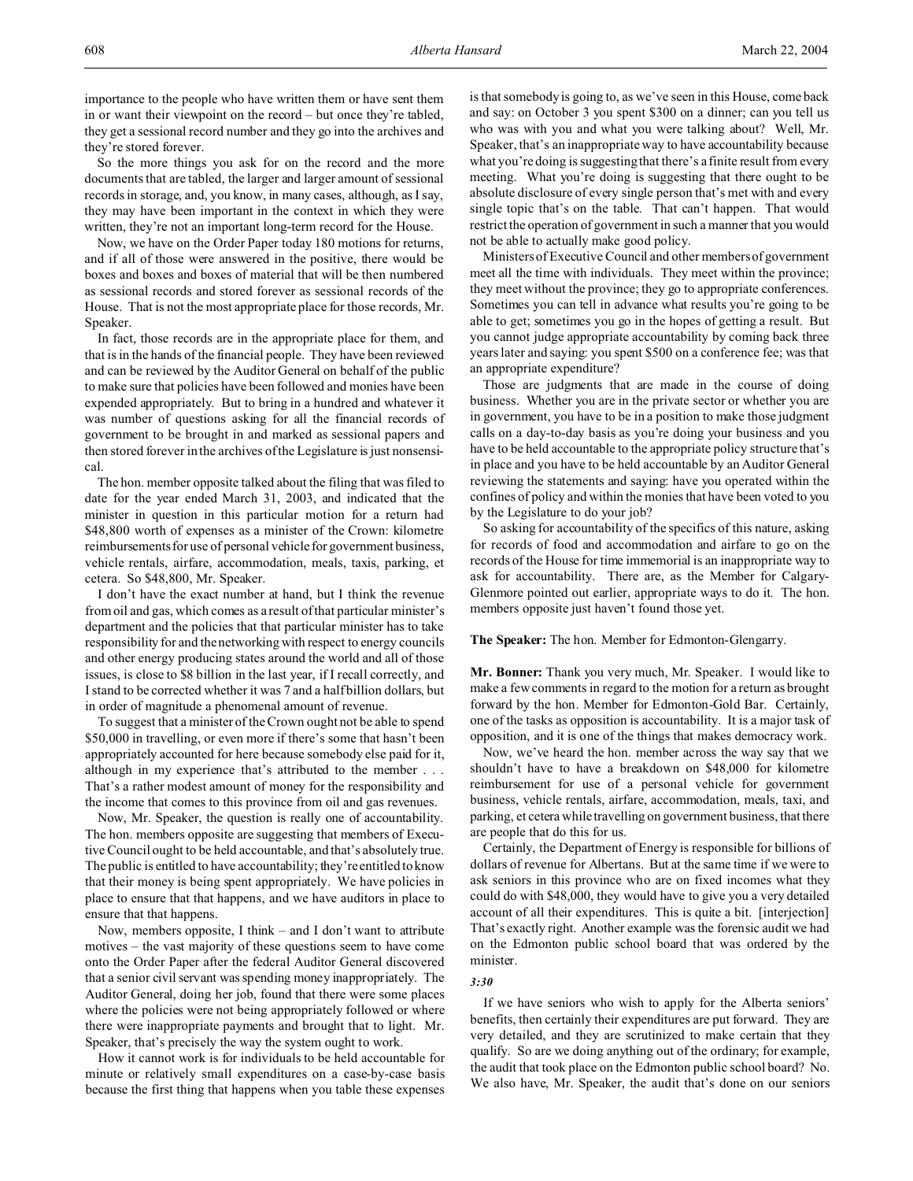So the more things you ask for on the record and the more documents that are tabled, the larger and larger amount of sessional records in storage, and, you know, in many cases, although, as I say, they may have been important in the context in which they were written, they're not an important long-term record for the House.

Now, we have on the Order Paper today 180 motions for returns, and if all of those were answered in the positive, there would be boxes and boxes and boxes of material that will be then numbered as sessional records and stored forever as sessional records of the House. That is not the most appropriate place for those records, Mr. Speaker.

In fact, those records are in the appropriate place for them, and that is in the hands of the financial people. They have been reviewed and can be reviewed by the Auditor General on behalf of the public to make sure that policies have been followed and monies have been expended appropriately. But to bring in a hundred and whatever it was number of questions asking for all the financial records of government to be brought in and marked as sessional papers and then stored forever in the archives of the Legislature is just nonsensical.

The hon. member opposite talked about the filing that was filed to date for the year ended March 31, 2003, and indicated that the minister in question in this particular motion for a return had \$48,800 worth of expenses as a minister of the Crown: kilometre reimbursements for use of personal vehicle for government business, vehicle rentals, airfare, accommodation, meals, taxis, parking, et cetera. So \$48,800, Mr. Speaker.

I don't have the exact number at hand, but I think the revenue from oil and gas, which comes as a result of that particular minister's department and the policies that that particular minister has to take responsibility for and the networking with respect to energy councils and other energy producing states around the world and all of those issues, is close to \$8 billion in the last year, if I recall correctly, and I stand to be corrected whether it was 7 and a half billion dollars, but in order of magnitude a phenomenal amount of revenue.

To suggest that a minister of the Crown ought not be able to spend \$50,000 in travelling, or even more if there's some that hasn't been appropriately accounted for here because somebody else paid for it, although in my experience that's attributed to the member . . . That's a rather modest amount of money for the responsibility and the income that comes to this province from oil and gas revenues.

Now, Mr. Speaker, the question is really one of accountability. The hon. members opposite are suggesting that members of Executive Council ought to be held accountable, and that's absolutely true. The public is entitled to have accountability; they're entitled to know that their money is being spent appropriately. We have policies in place to ensure that that happens, and we have auditors in place to ensure that that happens.

Now, members opposite, I think – and I don't want to attribute motives – the vast majority of these questions seem to have come onto the Order Paper after the federal Auditor General discovered that a senior civil servant was spending money inappropriately. The Auditor General, doing her job, found that there were some places where the policies were not being appropriately followed or where there were inappropriate payments and brought that to light. Mr. Speaker, that's precisely the way the system ought to work.

How it cannot work is for individuals to be held accountable for minute or relatively small expenditures on a case-by-case basis because the first thing that happens when you table these expenses is that somebody is going to, as we've seen in this House, come back and say: on October 3 you spent \$300 on a dinner; can you tell us who was with you and what you were talking about? Well, Mr. Speaker, that's an inappropriate way to have accountability because what you're doing is suggesting that there's a finite result from every meeting. What you're doing is suggesting that there ought to be absolute disclosure of every single person that's met with and every single topic that's on the table. That can't happen. That would restrict the operation of government in such a manner that you would not be able to actually make good policy.

Ministers of Executive Council and other members of government meet all the time with individuals. They meet within the province; they meet without the province; they go to appropriate conferences. Sometimes you can tell in advance what results you're going to be able to get; sometimes you go in the hopes of getting a result. But you cannot judge appropriate accountability by coming back three years later and saying: you spent \$500 on a conference fee; was that an appropriate expenditure?

Those are judgments that are made in the course of doing business. Whether you are in the private sector or whether you are in government, you have to be in a position to make those judgment calls on a day-to-day basis as you're doing your business and you have to be held accountable to the appropriate policy structure that's in place and you have to be held accountable by an Auditor General reviewing the statements and saying: have you operated within the confines of policy and within the monies that have been voted to you by the Legislature to do your job?

So asking for accountability of the specifics of this nature, asking for records of food and accommodation and airfare to go on the records of the House for time immemorial is an inappropriate way to ask for accountability. There are, as the Member for Calgary-Glenmore pointed out earlier, appropriate ways to do it. The hon. members opposite just haven't found those yet.

**The Speaker:** The hon. Member for Edmonton-Glengarry.

**Mr. Bonner:** Thank you very much, Mr. Speaker. I would like to make a few comments in regard to the motion for a return as brought forward by the hon. Member for Edmonton-Gold Bar. Certainly, one of the tasks as opposition is accountability. It is a major task of opposition, and it is one of the things that makes democracy work.

Now, we've heard the hon. member across the way say that we shouldn't have to have a breakdown on \$48,000 for kilometre reimbursement for use of a personal vehicle for government business, vehicle rentals, airfare, accommodation, meals, taxi, and parking, et cetera while travelling on government business, that there are people that do this for us.

Certainly, the Department of Energy is responsible for billions of dollars of revenue for Albertans. But at the same time if we were to ask seniors in this province who are on fixed incomes what they could do with \$48,000, they would have to give you a very detailed account of all their expenditures. This is quite a bit. [interjection] That's exactly right. Another example was the forensic audit we had on the Edmonton public school board that was ordered by the minister.

# *3:30*

If we have seniors who wish to apply for the Alberta seniors' benefits, then certainly their expenditures are put forward. They are very detailed, and they are scrutinized to make certain that they qualify. So are we doing anything out of the ordinary; for example, the audit that took place on the Edmonton public school board? No. We also have, Mr. Speaker, the audit that's done on our seniors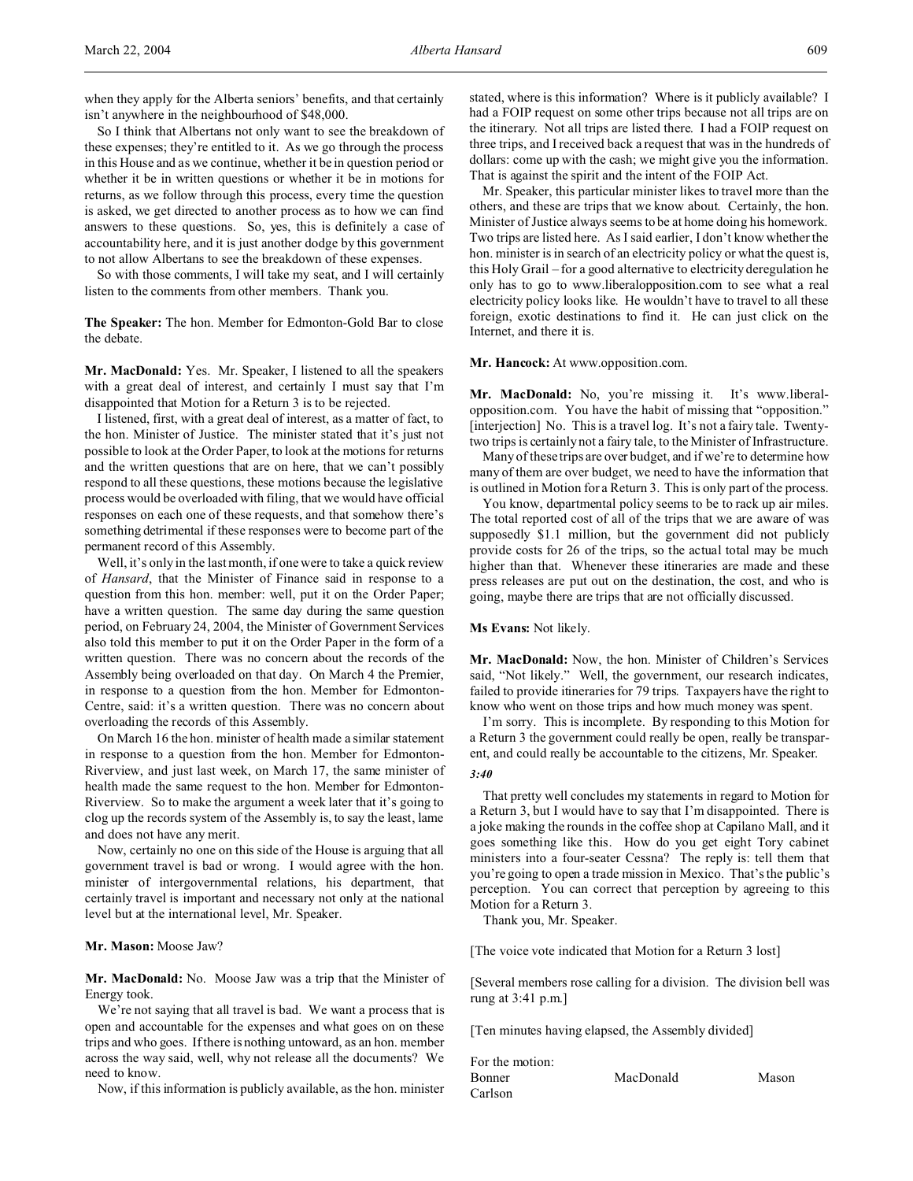when they apply for the Alberta seniors' benefits, and that certainly isn't anywhere in the neighbourhood of \$48,000.

So I think that Albertans not only want to see the breakdown of these expenses; they're entitled to it. As we go through the process in this House and as we continue, whether it be in question period or whether it be in written questions or whether it be in motions for returns, as we follow through this process, every time the question is asked, we get directed to another process as to how we can find answers to these questions. So, yes, this is definitely a case of accountability here, and it is just another dodge by this government to not allow Albertans to see the breakdown of these expenses.

So with those comments, I will take my seat, and I will certainly listen to the comments from other members. Thank you.

**The Speaker:** The hon. Member for Edmonton-Gold Bar to close the debate.

**Mr. MacDonald:** Yes. Mr. Speaker, I listened to all the speakers with a great deal of interest, and certainly I must say that I'm disappointed that Motion for a Return 3 is to be rejected.

I listened, first, with a great deal of interest, as a matter of fact, to the hon. Minister of Justice. The minister stated that it's just not possible to look at the Order Paper, to look at the motions for returns and the written questions that are on here, that we can't possibly respond to all these questions, these motions because the legislative process would be overloaded with filing, that we would have official responses on each one of these requests, and that somehow there's something detrimental if these responses were to become part of the permanent record of this Assembly.

Well, it's only in the last month, if one were to take a quick review of *Hansard*, that the Minister of Finance said in response to a question from this hon. member: well, put it on the Order Paper; have a written question. The same day during the same question period, on February 24, 2004, the Minister of Government Services also told this member to put it on the Order Paper in the form of a written question. There was no concern about the records of the Assembly being overloaded on that day. On March 4 the Premier, in response to a question from the hon. Member for Edmonton-Centre, said: it's a written question. There was no concern about overloading the records of this Assembly.

On March 16 the hon. minister of health made a similar statement in response to a question from the hon. Member for Edmonton-Riverview, and just last week, on March 17, the same minister of health made the same request to the hon. Member for Edmonton-Riverview. So to make the argument a week later that it's going to clog up the records system of the Assembly is, to say the least, lame and does not have any merit.

Now, certainly no one on this side of the House is arguing that all government travel is bad or wrong. I would agree with the hon. minister of intergovernmental relations, his department, that certainly travel is important and necessary not only at the national level but at the international level, Mr. Speaker.

**Mr. Mason:** Moose Jaw?

**Mr. MacDonald:** No. Moose Jaw was a trip that the Minister of Energy took.

We're not saying that all travel is bad. We want a process that is open and accountable for the expenses and what goes on on these trips and who goes. If there is nothing untoward, as an hon. member across the way said, well, why not release all the documents? We need to know.

Now, if this information is publicly available, as the hon. minister

stated, where is this information? Where is it publicly available? I had a FOIP request on some other trips because not all trips are on the itinerary. Not all trips are listed there. I had a FOIP request on three trips, and I received back a request that was in the hundreds of dollars: come up with the cash; we might give you the information. That is against the spirit and the intent of the FOIP Act.

Mr. Speaker, this particular minister likes to travel more than the others, and these are trips that we know about. Certainly, the hon. Minister of Justice always seems to be at home doing his homework. Two trips are listed here. As I said earlier, I don't know whether the hon. minister is in search of an electricity policy or what the quest is, this Holy Grail – for a good alternative to electricity deregulation he only has to go to www.liberalopposition.com to see what a real electricity policy looks like. He wouldn't have to travel to all these foreign, exotic destinations to find it. He can just click on the Internet, and there it is.

**Mr. Hancock:** At www.opposition.com.

**Mr. MacDonald:** No, you're missing it. It's www.liberalopposition.com. You have the habit of missing that "opposition." [interjection] No. This is a travel log. It's not a fairy tale. Twentytwo trips is certainly not a fairy tale, to the Minister of Infrastructure.

Many of these trips are over budget, and if we're to determine how many of them are over budget, we need to have the information that is outlined in Motion for a Return 3. This is only part of the process.

You know, departmental policy seems to be to rack up air miles. The total reported cost of all of the trips that we are aware of was supposedly \$1.1 million, but the government did not publicly provide costs for 26 of the trips, so the actual total may be much higher than that. Whenever these itineraries are made and these press releases are put out on the destination, the cost, and who is going, maybe there are trips that are not officially discussed.

**Ms Evans:** Not likely.

**Mr. MacDonald:** Now, the hon. Minister of Children's Services said, "Not likely." Well, the government, our research indicates, failed to provide itineraries for 79 trips. Taxpayers have the right to know who went on those trips and how much money was spent.

I'm sorry. This is incomplete. By responding to this Motion for a Return 3 the government could really be open, really be transparent, and could really be accountable to the citizens, Mr. Speaker.

#### *3:40*

That pretty well concludes my statements in regard to Motion for a Return 3, but I would have to say that I'm disappointed. There is a joke making the rounds in the coffee shop at Capilano Mall, and it goes something like this. How do you get eight Tory cabinet ministers into a four-seater Cessna? The reply is: tell them that you're going to open a trade mission in Mexico. That's the public's perception. You can correct that perception by agreeing to this Motion for a Return 3.

Thank you, Mr. Speaker.

[The voice vote indicated that Motion for a Return 3 lost]

[Several members rose calling for a division. The division bell was rung at 3:41 p.m.]

[Ten minutes having elapsed, the Assembly divided]

| For the motion: |           |       |
|-----------------|-----------|-------|
| Bonner          | MacDonald | Mason |
| Carlson         |           |       |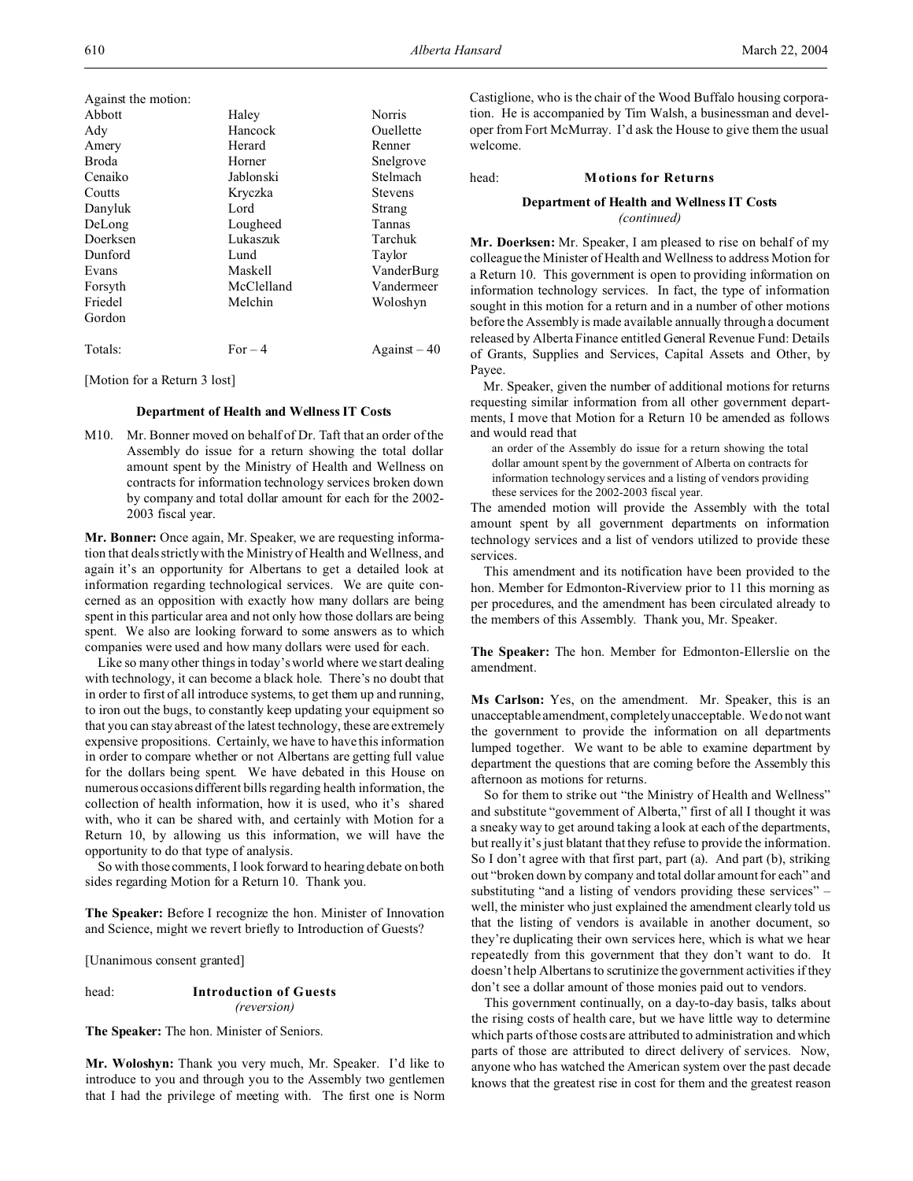| Against the motion: |            |                |
|---------------------|------------|----------------|
| Abbott              | Haley      | Norris         |
| Ady                 | Hancock    | Ouellette      |
| Amery               | Herard     | Renner         |
| <b>Broda</b>        | Horner     | Snelgrove      |
| Cenaiko             | Jablonski  | Stelmach       |
| Coutts              | Kryczka    | <b>Stevens</b> |
| Danyluk             | Lord       | Strang         |
| DeLong              | Lougheed   | Tannas         |
| Doerksen            | Lukaszuk   | Tarchuk        |
| Dunford             | Lund       | Taylor         |
| Evans               | Maskell    | VanderBurg     |
| Forsyth             | McClelland | Vandermeer     |
| Friedel             | Melchin    | Woloshyn       |
| Gordon              |            |                |
| Totals:             | For $-4$   | Against $-40$  |

[Motion for a Return 3 lost]

### **Department of Health and Wellness IT Costs**

M10. Mr. Bonner moved on behalf of Dr. Taft that an order of the Assembly do issue for a return showing the total dollar amount spent by the Ministry of Health and Wellness on contracts for information technology services broken down by company and total dollar amount for each for the 2002- 2003 fiscal year.

**Mr. Bonner:** Once again, Mr. Speaker, we are requesting information that deals strictly with the Ministry of Health and Wellness, and again it's an opportunity for Albertans to get a detailed look at information regarding technological services. We are quite concerned as an opposition with exactly how many dollars are being spent in this particular area and not only how those dollars are being spent. We also are looking forward to some answers as to which companies were used and how many dollars were used for each.

Like so many other things in today's world where we start dealing with technology, it can become a black hole. There's no doubt that in order to first of all introduce systems, to get them up and running, to iron out the bugs, to constantly keep updating your equipment so that you can stay abreast of the latest technology, these are extremely expensive propositions. Certainly, we have to have this information in order to compare whether or not Albertans are getting full value for the dollars being spent. We have debated in this House on numerous occasions different bills regarding health information, the collection of health information, how it is used, who it's shared with, who it can be shared with, and certainly with Motion for a Return 10, by allowing us this information, we will have the opportunity to do that type of analysis.

So with those comments, I look forward to hearing debate on both sides regarding Motion for a Return 10. Thank you.

**The Speaker:** Before I recognize the hon. Minister of Innovation and Science, might we revert briefly to Introduction of Guests?

[Unanimous consent granted]

# head: **Introduction of Guests** *(reversion)*

**The Speaker:** The hon. Minister of Seniors.

**Mr. Woloshyn:** Thank you very much, Mr. Speaker. I'd like to introduce to you and through you to the Assembly two gentlemen that I had the privilege of meeting with. The first one is Norm Castiglione, who is the chair of the Wood Buffalo housing corporation. He is accompanied by Tim Walsh, a businessman and developer from Fort McMurray. I'd ask the House to give them the usual welcome.

#### head: **Motions for Returns**

# **Department of Health and Wellness IT Costs** *(continued)*

**Mr. Doerksen:** Mr. Speaker, I am pleased to rise on behalf of my colleague the Minister of Health and Wellness to address Motion for a Return 10. This government is open to providing information on information technology services. In fact, the type of information sought in this motion for a return and in a number of other motions before the Assembly is made available annually through a document released by Alberta Finance entitled General Revenue Fund: Details of Grants, Supplies and Services, Capital Assets and Other, by Payee.

Mr. Speaker, given the number of additional motions for returns requesting similar information from all other government departments, I move that Motion for a Return 10 be amended as follows and would read that

an order of the Assembly do issue for a return showing the total dollar amount spent by the government of Alberta on contracts for information technology services and a listing of vendors providing these services for the 2002-2003 fiscal year.

The amended motion will provide the Assembly with the total amount spent by all government departments on information technology services and a list of vendors utilized to provide these services.

This amendment and its notification have been provided to the hon. Member for Edmonton-Riverview prior to 11 this morning as per procedures, and the amendment has been circulated already to the members of this Assembly. Thank you, Mr. Speaker.

**The Speaker:** The hon. Member for Edmonton-Ellerslie on the amendment.

**Ms Carlson:** Yes, on the amendment. Mr. Speaker, this is an unacceptable amendment, completely unacceptable. We do not want the government to provide the information on all departments lumped together. We want to be able to examine department by department the questions that are coming before the Assembly this afternoon as motions for returns.

So for them to strike out "the Ministry of Health and Wellness" and substitute "government of Alberta," first of all I thought it was a sneaky way to get around taking a look at each of the departments, but really it's just blatant that they refuse to provide the information. So I don't agree with that first part, part (a). And part (b), striking out "broken down by company and total dollar amount for each" and substituting "and a listing of vendors providing these services" – well, the minister who just explained the amendment clearly told us that the listing of vendors is available in another document, so they're duplicating their own services here, which is what we hear repeatedly from this government that they don't want to do. It doesn't help Albertans to scrutinize the government activities if they don't see a dollar amount of those monies paid out to vendors.

This government continually, on a day-to-day basis, talks about the rising costs of health care, but we have little way to determine which parts of those costs are attributed to administration and which parts of those are attributed to direct delivery of services. Now, anyone who has watched the American system over the past decade knows that the greatest rise in cost for them and the greatest reason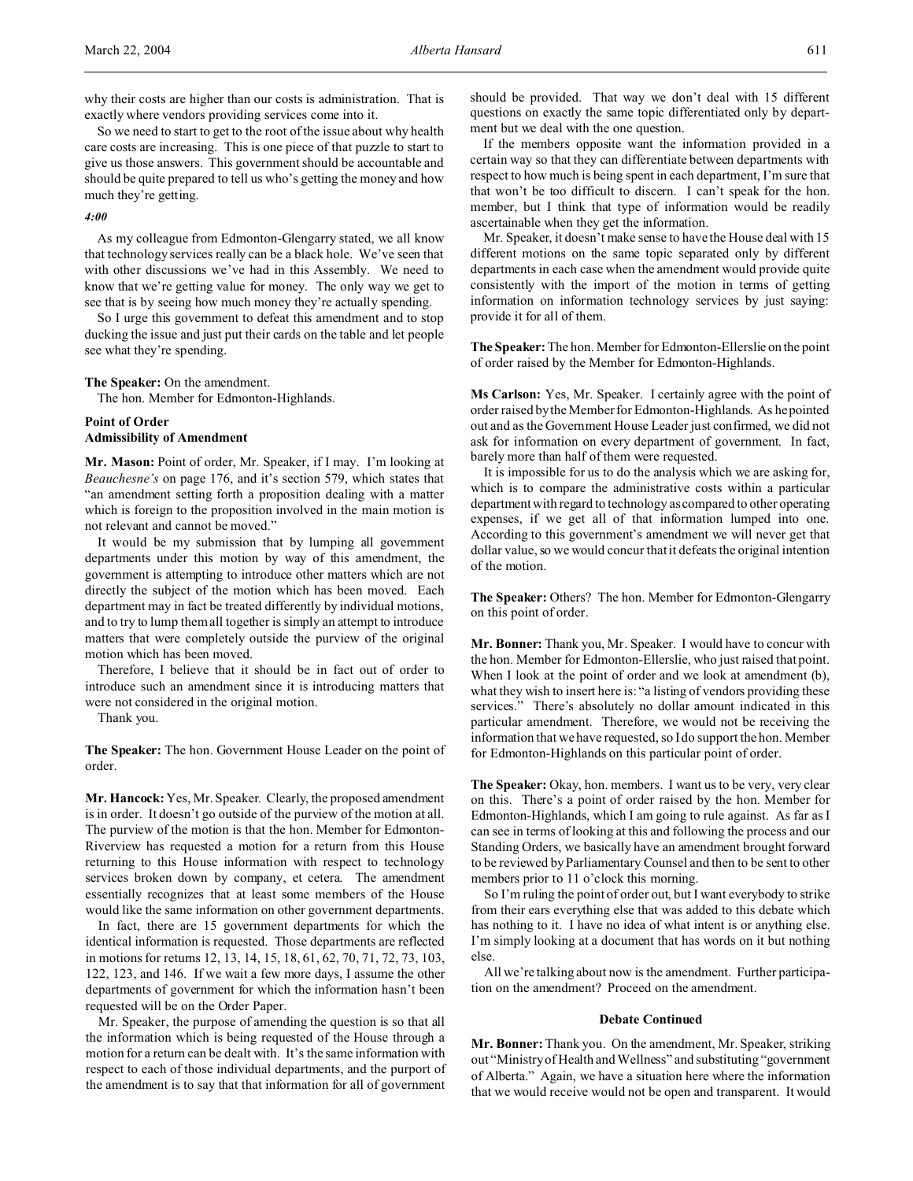why their costs are higher than our costs is administration. That is exactly where vendors providing services come into it.

So we need to start to get to the root of the issue about why health care costs are increasing. This is one piece of that puzzle to start to give us those answers. This government should be accountable and should be quite prepared to tell us who's getting the money and how much they're getting.

#### *4:00*

As my colleague from Edmonton-Glengarry stated, we all know that technology services really can be a black hole. We've seen that with other discussions we've had in this Assembly. We need to know that we're getting value for money. The only way we get to see that is by seeing how much money they're actually spending.

So I urge this government to defeat this amendment and to stop ducking the issue and just put their cards on the table and let people see what they're spending.

### **The Speaker:** On the amendment.

The hon. Member for Edmonton-Highlands.

# **Point of Order**

# **Admissibility of Amendment**

**Mr. Mason:** Point of order, Mr. Speaker, if I may. I'm looking at *Beauchesne's* on page 176, and it's section 579, which states that "an amendment setting forth a proposition dealing with a matter which is foreign to the proposition involved in the main motion is not relevant and cannot be moved."

It would be my submission that by lumping all government departments under this motion by way of this amendment, the government is attempting to introduce other matters which are not directly the subject of the motion which has been moved. Each department may in fact be treated differently by individual motions, and to try to lump them all together is simply an attempt to introduce matters that were completely outside the purview of the original motion which has been moved.

Therefore, I believe that it should be in fact out of order to introduce such an amendment since it is introducing matters that were not considered in the original motion.

Thank you.

**The Speaker:** The hon. Government House Leader on the point of order.

**Mr. Hancock:** Yes, Mr. Speaker. Clearly, the proposed amendment is in order. It doesn't go outside of the purview of the motion at all. The purview of the motion is that the hon. Member for Edmonton-Riverview has requested a motion for a return from this House returning to this House information with respect to technology services broken down by company, et cetera. The amendment essentially recognizes that at least some members of the House would like the same information on other government departments.

In fact, there are 15 government departments for which the identical information is requested. Those departments are reflected in motions for returns 12, 13, 14, 15, 18, 61, 62, 70, 71, 72, 73, 103, 122, 123, and 146. If we wait a few more days, I assume the other departments of government for which the information hasn't been requested will be on the Order Paper.

Mr. Speaker, the purpose of amending the question is so that all the information which is being requested of the House through a motion for a return can be dealt with. It's the same information with respect to each of those individual departments, and the purport of the amendment is to say that that information for all of government

should be provided. That way we don't deal with 15 different questions on exactly the same topic differentiated only by department but we deal with the one question.

If the members opposite want the information provided in a certain way so that they can differentiate between departments with respect to how much is being spent in each department, I'm sure that that won't be too difficult to discern. I can't speak for the hon. member, but I think that type of information would be readily ascertainable when they get the information.

Mr. Speaker, it doesn't make sense to have the House deal with 15 different motions on the same topic separated only by different departments in each case when the amendment would provide quite consistently with the import of the motion in terms of getting information on information technology services by just saying: provide it for all of them.

**The Speaker:** The hon. Member for Edmonton-Ellerslie on the point of order raised by the Member for Edmonton-Highlands.

**Ms Carlson:** Yes, Mr. Speaker. I certainly agree with the point of order raised by the Member for Edmonton-Highlands. As he pointed out and as the Government House Leader just confirmed, we did not ask for information on every department of government. In fact, barely more than half of them were requested.

It is impossible for us to do the analysis which we are asking for, which is to compare the administrative costs within a particular department with regard to technology as compared to other operating expenses, if we get all of that information lumped into one. According to this government's amendment we will never get that dollar value, so we would concur that it defeats the original intention of the motion.

**The Speaker:** Others? The hon. Member for Edmonton-Glengarry on this point of order.

**Mr. Bonner:** Thank you, Mr. Speaker. I would have to concur with the hon. Member for Edmonton-Ellerslie, who just raised that point. When I look at the point of order and we look at amendment (b), what they wish to insert here is: "a listing of vendors providing these services." There's absolutely no dollar amount indicated in this particular amendment. Therefore, we would not be receiving the information that we have requested, so I do support the hon. Member for Edmonton-Highlands on this particular point of order.

The Speaker: Okay, hon. members. I want us to be very, very clear on this. There's a point of order raised by the hon. Member for Edmonton-Highlands, which I am going to rule against. As far as I can see in terms of looking at this and following the process and our Standing Orders, we basically have an amendment brought forward to be reviewed by Parliamentary Counsel and then to be sent to other members prior to 11 o'clock this morning.

So I'm ruling the point of order out, but I want everybody to strike from their ears everything else that was added to this debate which has nothing to it. I have no idea of what intent is or anything else. I'm simply looking at a document that has words on it but nothing else.

All we're talking about now is the amendment. Further participation on the amendment? Proceed on the amendment.

#### **Debate Continued**

**Mr. Bonner:** Thank you. On the amendment, Mr. Speaker, striking out "Ministry of Health and Wellness" and substituting "government of Alberta." Again, we have a situation here where the information that we would receive would not be open and transparent. It would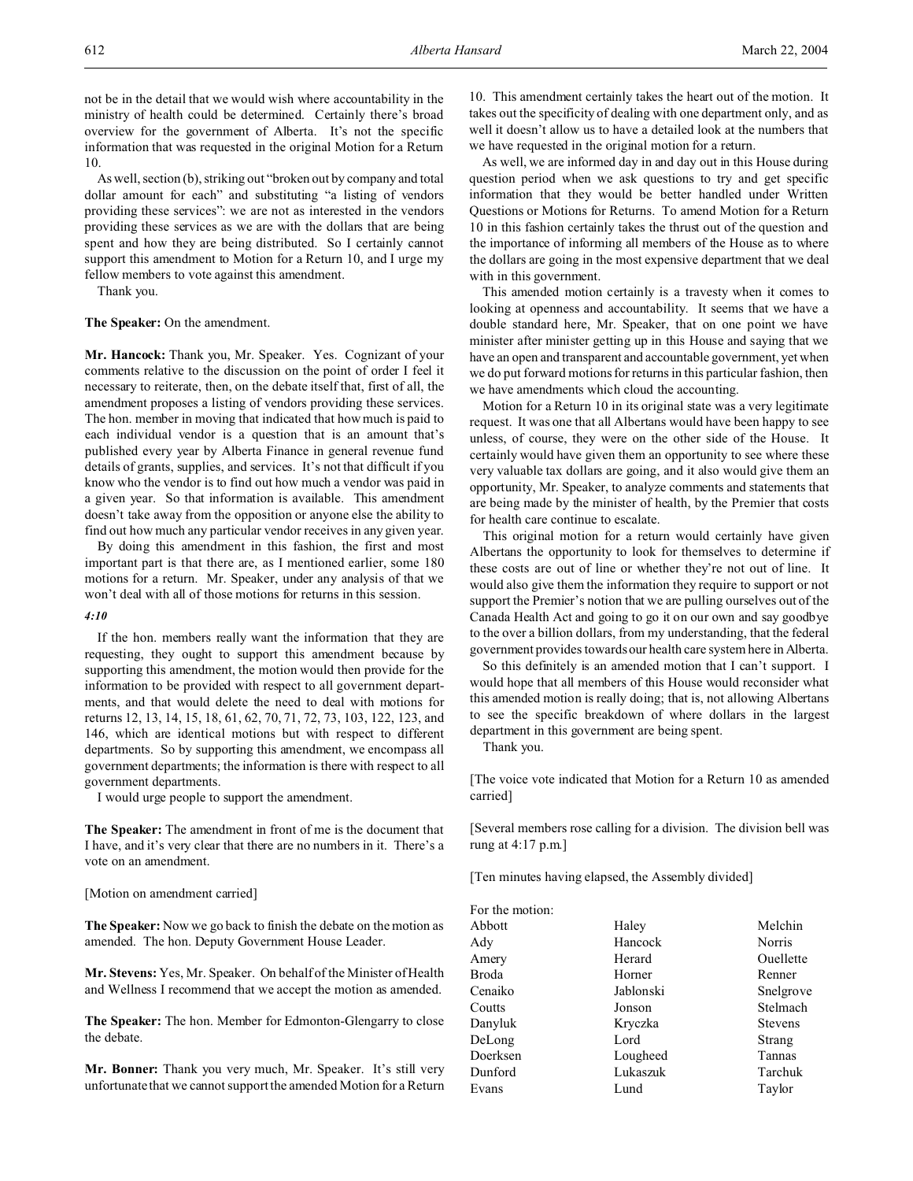not be in the detail that we would wish where accountability in the ministry of health could be determined. Certainly there's broad overview for the government of Alberta. It's not the specific information that was requested in the original Motion for a Return 10.

As well, section (b), striking out "broken out by company and total dollar amount for each" and substituting "a listing of vendors providing these services": we are not as interested in the vendors providing these services as we are with the dollars that are being spent and how they are being distributed. So I certainly cannot support this amendment to Motion for a Return 10, and I urge my fellow members to vote against this amendment.

Thank you.

### **The Speaker:** On the amendment.

**Mr. Hancock:** Thank you, Mr. Speaker. Yes. Cognizant of your comments relative to the discussion on the point of order I feel it necessary to reiterate, then, on the debate itself that, first of all, the amendment proposes a listing of vendors providing these services. The hon. member in moving that indicated that how much is paid to each individual vendor is a question that is an amount that's published every year by Alberta Finance in general revenue fund details of grants, supplies, and services. It's not that difficult if you know who the vendor is to find out how much a vendor was paid in a given year. So that information is available. This amendment doesn't take away from the opposition or anyone else the ability to find out how much any particular vendor receives in any given year.

By doing this amendment in this fashion, the first and most important part is that there are, as I mentioned earlier, some 180 motions for a return. Mr. Speaker, under any analysis of that we won't deal with all of those motions for returns in this session.

# *4:10*

If the hon. members really want the information that they are requesting, they ought to support this amendment because by supporting this amendment, the motion would then provide for the information to be provided with respect to all government departments, and that would delete the need to deal with motions for returns 12, 13, 14, 15, 18, 61, 62, 70, 71, 72, 73, 103, 122, 123, and 146, which are identical motions but with respect to different departments. So by supporting this amendment, we encompass all government departments; the information is there with respect to all government departments.

I would urge people to support the amendment.

**The Speaker:** The amendment in front of me is the document that I have, and it's very clear that there are no numbers in it. There's a vote on an amendment.

### [Motion on amendment carried]

**The Speaker:** Now we go back to finish the debate on the motion as amended. The hon. Deputy Government House Leader.

**Mr. Stevens:** Yes, Mr. Speaker. On behalf of the Minister of Health and Wellness I recommend that we accept the motion as amended.

**The Speaker:** The hon. Member for Edmonton-Glengarry to close the debate.

**Mr. Bonner:** Thank you very much, Mr. Speaker. It's still very unfortunate that we cannot support the amended Motion for a Return 10. This amendment certainly takes the heart out of the motion. It takes out the specificity of dealing with one department only, and as well it doesn't allow us to have a detailed look at the numbers that we have requested in the original motion for a return.

As well, we are informed day in and day out in this House during question period when we ask questions to try and get specific information that they would be better handled under Written Questions or Motions for Returns. To amend Motion for a Return 10 in this fashion certainly takes the thrust out of the question and the importance of informing all members of the House as to where the dollars are going in the most expensive department that we deal with in this government.

This amended motion certainly is a travesty when it comes to looking at openness and accountability. It seems that we have a double standard here, Mr. Speaker, that on one point we have minister after minister getting up in this House and saying that we have an open and transparent and accountable government, yet when we do put forward motions for returns in this particular fashion, then we have amendments which cloud the accounting.

Motion for a Return 10 in its original state was a very legitimate request. It was one that all Albertans would have been happy to see unless, of course, they were on the other side of the House. It certainly would have given them an opportunity to see where these very valuable tax dollars are going, and it also would give them an opportunity, Mr. Speaker, to analyze comments and statements that are being made by the minister of health, by the Premier that costs for health care continue to escalate.

This original motion for a return would certainly have given Albertans the opportunity to look for themselves to determine if these costs are out of line or whether they're not out of line. It would also give them the information they require to support or not support the Premier's notion that we are pulling ourselves out of the Canada Health Act and going to go it on our own and say goodbye to the over a billion dollars, from my understanding, that the federal government provides towards our health care system here in Alberta.

So this definitely is an amended motion that I can't support. I would hope that all members of this House would reconsider what this amended motion is really doing; that is, not allowing Albertans to see the specific breakdown of where dollars in the largest department in this government are being spent.

Thank you.

[The voice vote indicated that Motion for a Return 10 as amended carried]

[Several members rose calling for a division. The division bell was rung at 4:17 p.m.]

[Ten minutes having elapsed, the Assembly divided]

| For the motion: |           |                |
|-----------------|-----------|----------------|
| Abbott          | Haley     | Melchin        |
| Ady             | Hancock   | Norris         |
| Amery           | Herard    | Ouellette      |
| Broda           | Horner    | Renner         |
| Cenaiko         | Jablonski | Snelgrove      |
| Coutts          | Jonson    | Stelmach       |
| Danyluk         | Kryczka   | <b>Stevens</b> |
| DeLong          | Lord      | Strang         |
| Doerksen        | Lougheed  | Tannas         |
| Dunford         | Lukaszuk  | Tarchuk        |
| Evans           | Lund      | Taylor         |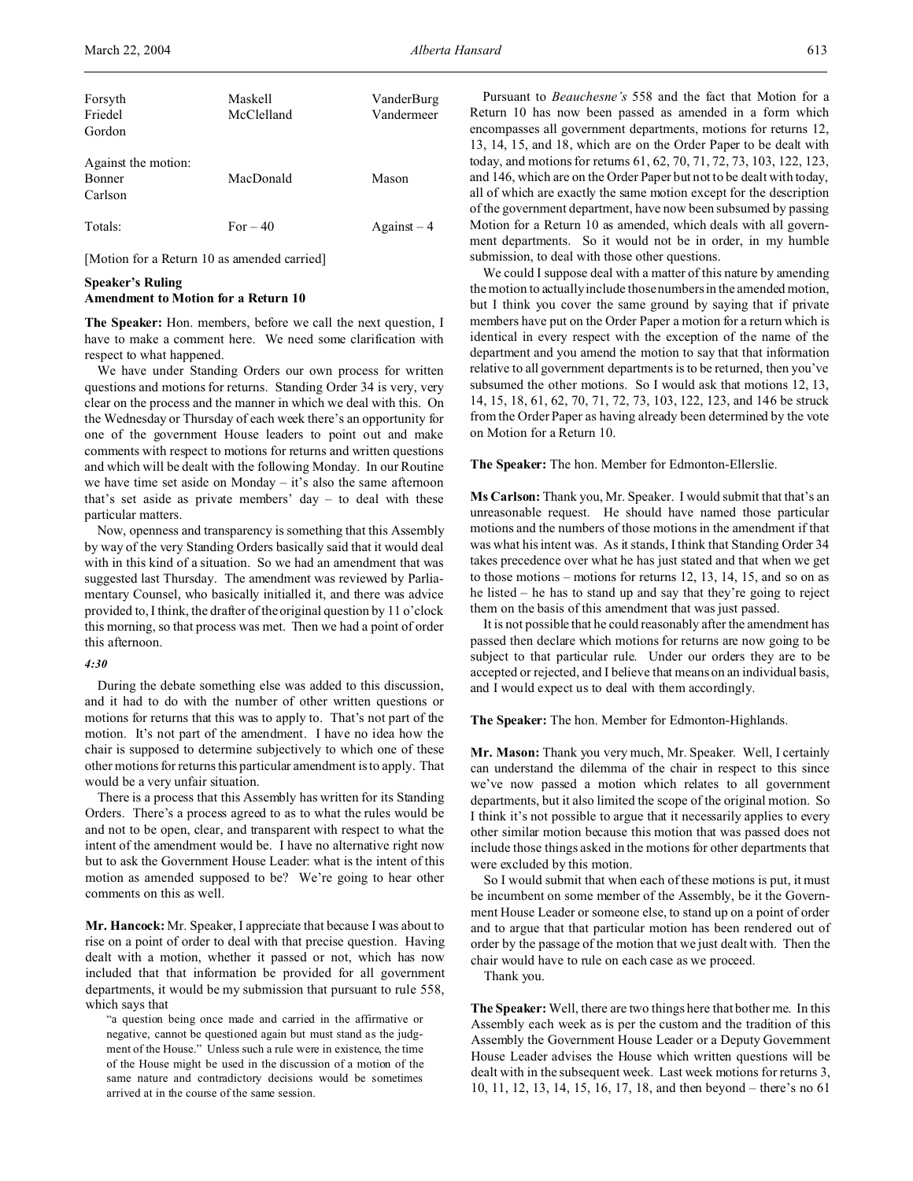| Forsyth<br>Friedel<br>Gordon                    | Maskell<br>McClelland | VanderBurg<br>Vandermeer |
|-------------------------------------------------|-----------------------|--------------------------|
| Against the motion:<br><b>Bonner</b><br>Carlson | MacDonald             | Mason                    |
| Totals:                                         | $For-40$              | $Against-4$              |

[Motion for a Return 10 as amended carried]

# **Speaker's Ruling Amendment to Motion for a Return 10**

**The Speaker:** Hon. members, before we call the next question, I have to make a comment here. We need some clarification with respect to what happened.

We have under Standing Orders our own process for written questions and motions for returns. Standing Order 34 is very, very clear on the process and the manner in which we deal with this. On the Wednesday or Thursday of each week there's an opportunity for one of the government House leaders to point out and make comments with respect to motions for returns and written questions and which will be dealt with the following Monday. In our Routine we have time set aside on Monday – it's also the same afternoon that's set aside as private members' day  $-$  to deal with these particular matters.

Now, openness and transparency is something that this Assembly by way of the very Standing Orders basically said that it would deal with in this kind of a situation. So we had an amendment that was suggested last Thursday. The amendment was reviewed by Parliamentary Counsel, who basically initialled it, and there was advice provided to, I think, the drafter of the original question by 11 o'clock this morning, so that process was met. Then we had a point of order this afternoon.

# *4:30*

During the debate something else was added to this discussion, and it had to do with the number of other written questions or motions for returns that this was to apply to. That's not part of the motion. It's not part of the amendment. I have no idea how the chair is supposed to determine subjectively to which one of these other motions for returns this particular amendment is to apply. That would be a very unfair situation.

There is a process that this Assembly has written for its Standing Orders. There's a process agreed to as to what the rules would be and not to be open, clear, and transparent with respect to what the intent of the amendment would be. I have no alternative right now but to ask the Government House Leader: what is the intent of this motion as amended supposed to be? We're going to hear other comments on this as well.

**Mr. Hancock:** Mr. Speaker, I appreciate that because I was about to rise on a point of order to deal with that precise question. Having dealt with a motion, whether it passed or not, which has now included that that information be provided for all government departments, it would be my submission that pursuant to rule 558, which says that

"a question being once made and carried in the affirmative or negative, cannot be questioned again but must stand as the judgment of the House." Unless such a rule were in existence, the time of the House might be used in the discussion of a motion of the same nature and contradictory decisions would be sometimes arrived at in the course of the same session.

Pursuant to *Beauchesne's* 558 and the fact that Motion for a Return 10 has now been passed as amended in a form which encompasses all government departments, motions for returns 12, 13, 14, 15, and 18, which are on the Order Paper to be dealt with today, and motions for returns 61, 62, 70, 71, 72, 73, 103, 122, 123, and 146, which are on the Order Paper but not to be dealt with today, all of which are exactly the same motion except for the description of the government department, have now been subsumed by passing Motion for a Return 10 as amended, which deals with all government departments. So it would not be in order, in my humble submission, to deal with those other questions.

We could I suppose deal with a matter of this nature by amending the motion to actually include those numbers in the amended motion, but I think you cover the same ground by saying that if private members have put on the Order Paper a motion for a return which is identical in every respect with the exception of the name of the department and you amend the motion to say that that information relative to all government departments is to be returned, then you've subsumed the other motions. So I would ask that motions 12, 13, 14, 15, 18, 61, 62, 70, 71, 72, 73, 103, 122, 123, and 146 be struck from the Order Paper as having already been determined by the vote on Motion for a Return 10.

**The Speaker:** The hon. Member for Edmonton-Ellerslie.

**Ms Carlson:** Thank you, Mr. Speaker. I would submit that that's an unreasonable request. He should have named those particular motions and the numbers of those motions in the amendment if that was what his intent was. As it stands, I think that Standing Order 34 takes precedence over what he has just stated and that when we get to those motions – motions for returns 12, 13, 14, 15, and so on as he listed – he has to stand up and say that they're going to reject them on the basis of this amendment that was just passed.

It is not possible that he could reasonably after the amendment has passed then declare which motions for returns are now going to be subject to that particular rule. Under our orders they are to be accepted or rejected, and I believe that means on an individual basis, and I would expect us to deal with them accordingly.

**The Speaker:** The hon. Member for Edmonton-Highlands.

**Mr. Mason:** Thank you very much, Mr. Speaker. Well, I certainly can understand the dilemma of the chair in respect to this since we've now passed a motion which relates to all government departments, but it also limited the scope of the original motion. So I think it's not possible to argue that it necessarily applies to every other similar motion because this motion that was passed does not include those things asked in the motions for other departments that were excluded by this motion.

So I would submit that when each of these motions is put, it must be incumbent on some member of the Assembly, be it the Government House Leader or someone else, to stand up on a point of order and to argue that that particular motion has been rendered out of order by the passage of the motion that we just dealt with. Then the chair would have to rule on each case as we proceed.

Thank you.

**The Speaker:** Well, there are two things here that bother me. In this Assembly each week as is per the custom and the tradition of this Assembly the Government House Leader or a Deputy Government House Leader advises the House which written questions will be dealt with in the subsequent week. Last week motions for returns 3, 10, 11, 12, 13, 14, 15, 16, 17, 18, and then beyond – there's no 61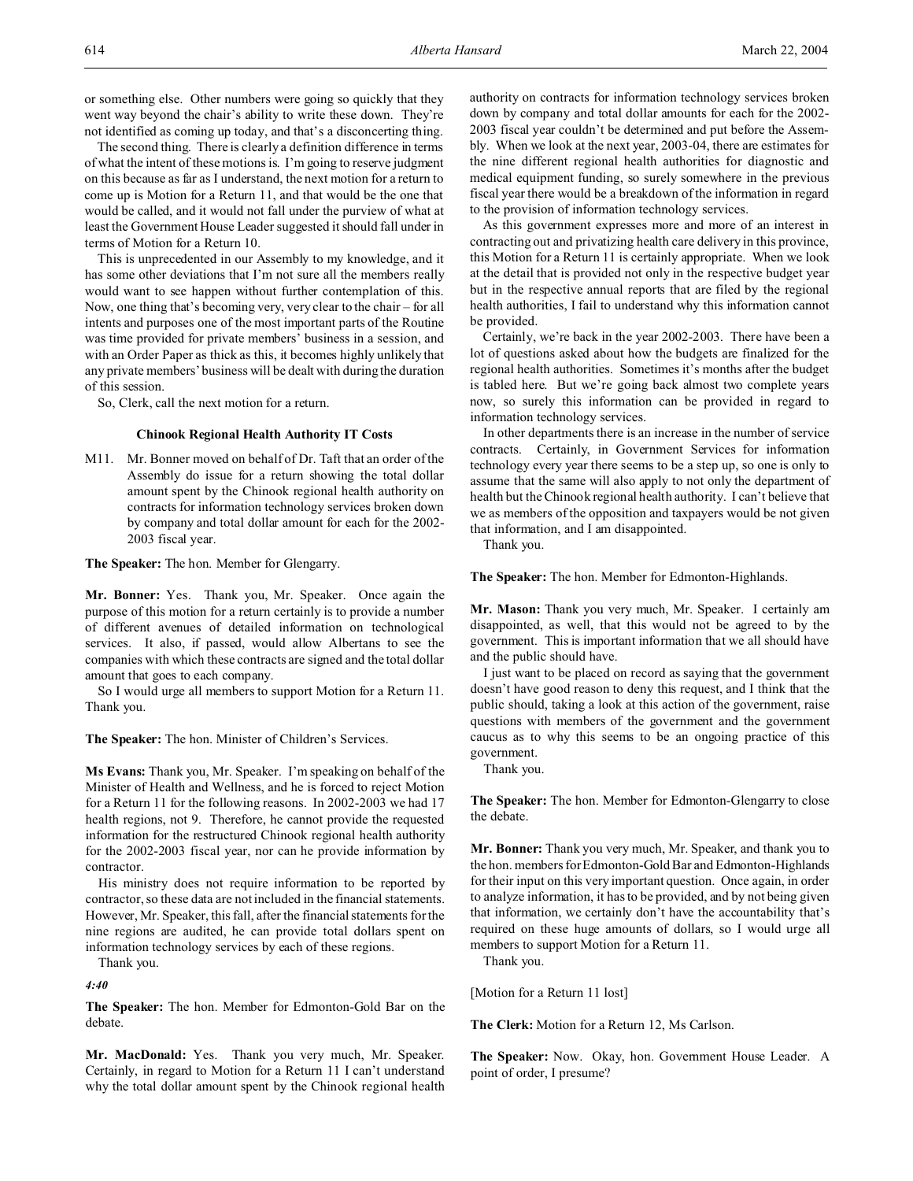or something else. Other numbers were going so quickly that they went way beyond the chair's ability to write these down. They're not identified as coming up today, and that's a disconcerting thing.

The second thing. There is clearly a definition difference in terms of what the intent of these motions is. I'm going to reserve judgment on this because as far as I understand, the next motion for a return to come up is Motion for a Return 11, and that would be the one that would be called, and it would not fall under the purview of what at least the Government House Leader suggested it should fall under in terms of Motion for a Return 10.

This is unprecedented in our Assembly to my knowledge, and it has some other deviations that I'm not sure all the members really would want to see happen without further contemplation of this. Now, one thing that's becoming very, very clear to the chair – for all intents and purposes one of the most important parts of the Routine was time provided for private members' business in a session, and with an Order Paper as thick as this, it becomes highly unlikely that any private members' business will be dealt with during the duration of this session.

So, Clerk, call the next motion for a return.

### **Chinook Regional Health Authority IT Costs**

M11. Mr. Bonner moved on behalf of Dr. Taft that an order of the Assembly do issue for a return showing the total dollar amount spent by the Chinook regional health authority on contracts for information technology services broken down by company and total dollar amount for each for the 2002- 2003 fiscal year.

**The Speaker:** The hon. Member for Glengarry.

**Mr. Bonner:** Yes. Thank you, Mr. Speaker. Once again the purpose of this motion for a return certainly is to provide a number of different avenues of detailed information on technological services. It also, if passed, would allow Albertans to see the companies with which these contracts are signed and the total dollar amount that goes to each company.

So I would urge all members to support Motion for a Return 11. Thank you.

**The Speaker:** The hon. Minister of Children's Services.

**Ms Evans:** Thank you, Mr. Speaker. I'm speaking on behalf of the Minister of Health and Wellness, and he is forced to reject Motion for a Return 11 for the following reasons. In 2002-2003 we had 17 health regions, not 9. Therefore, he cannot provide the requested information for the restructured Chinook regional health authority for the 2002-2003 fiscal year, nor can he provide information by contractor.

His ministry does not require information to be reported by contractor, so these data are not included in the financial statements. However, Mr. Speaker, this fall, after the financial statements for the nine regions are audited, he can provide total dollars spent on information technology services by each of these regions.

Thank you.

*4:40*

**The Speaker:** The hon. Member for Edmonton-Gold Bar on the debate.

**Mr. MacDonald:** Yes. Thank you very much, Mr. Speaker. Certainly, in regard to Motion for a Return 11 I can't understand why the total dollar amount spent by the Chinook regional health

authority on contracts for information technology services broken down by company and total dollar amounts for each for the 2002- 2003 fiscal year couldn't be determined and put before the Assembly. When we look at the next year, 2003-04, there are estimates for the nine different regional health authorities for diagnostic and medical equipment funding, so surely somewhere in the previous fiscal year there would be a breakdown of the information in regard to the provision of information technology services.

As this government expresses more and more of an interest in contracting out and privatizing health care delivery in this province, this Motion for a Return 11 is certainly appropriate. When we look at the detail that is provided not only in the respective budget year but in the respective annual reports that are filed by the regional health authorities, I fail to understand why this information cannot be provided.

Certainly, we're back in the year 2002-2003. There have been a lot of questions asked about how the budgets are finalized for the regional health authorities. Sometimes it's months after the budget is tabled here. But we're going back almost two complete years now, so surely this information can be provided in regard to information technology services.

In other departments there is an increase in the number of service contracts. Certainly, in Government Services for information technology every year there seems to be a step up, so one is only to assume that the same will also apply to not only the department of health but the Chinook regional health authority. I can't believe that we as members of the opposition and taxpayers would be not given that information, and I am disappointed.

Thank you.

**The Speaker:** The hon. Member for Edmonton-Highlands.

**Mr. Mason:** Thank you very much, Mr. Speaker. I certainly am disappointed, as well, that this would not be agreed to by the government. This is important information that we all should have and the public should have.

I just want to be placed on record as saying that the government doesn't have good reason to deny this request, and I think that the public should, taking a look at this action of the government, raise questions with members of the government and the government caucus as to why this seems to be an ongoing practice of this government.

Thank you.

**The Speaker:** The hon. Member for Edmonton-Glengarry to close the debate.

**Mr. Bonner:** Thank you very much, Mr. Speaker, and thank you to the hon. members for Edmonton-Gold Bar and Edmonton-Highlands for their input on this very important question. Once again, in order to analyze information, it has to be provided, and by not being given that information, we certainly don't have the accountability that's required on these huge amounts of dollars, so I would urge all members to support Motion for a Return 11.

Thank you.

[Motion for a Return 11 lost]

**The Clerk:** Motion for a Return 12, Ms Carlson.

**The Speaker:** Now. Okay, hon. Government House Leader. A point of order, I presume?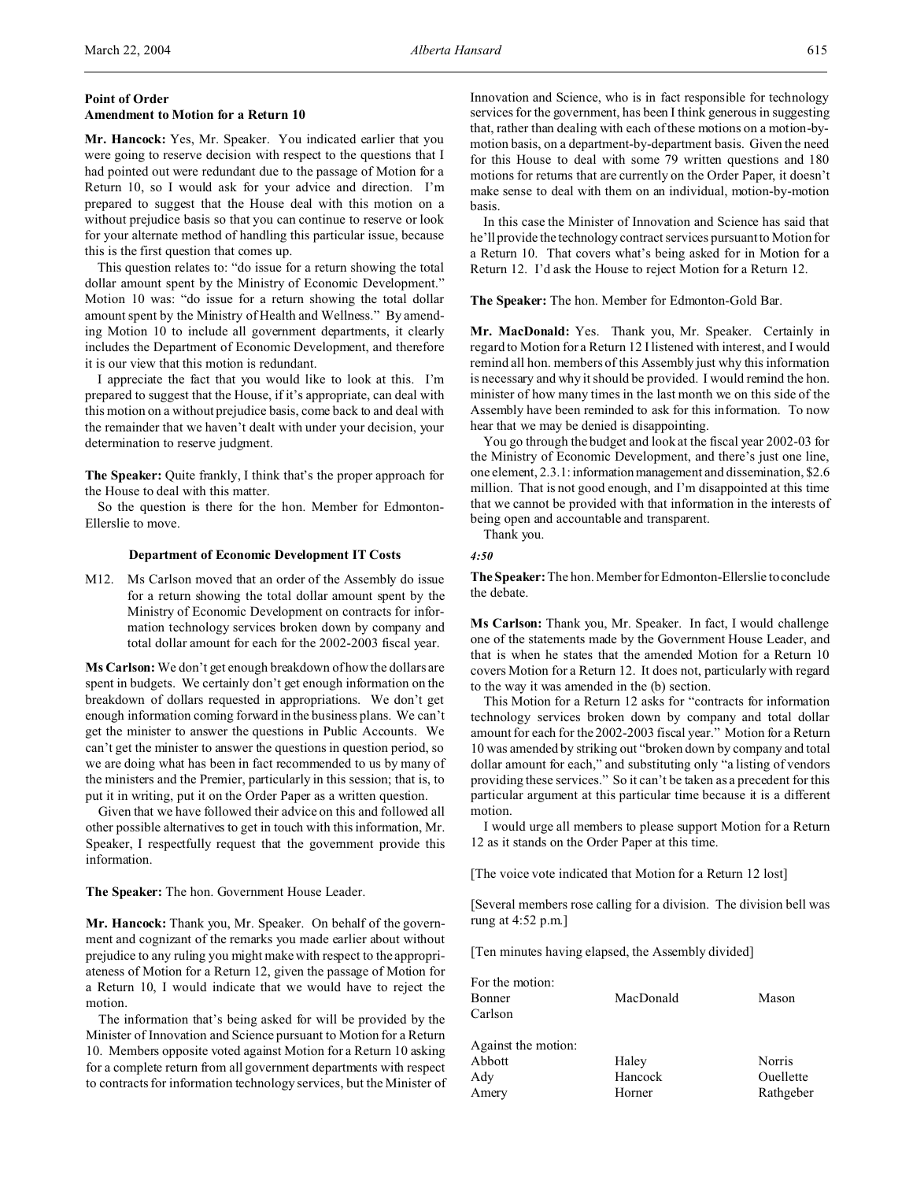# **Point of Order Amendment to Motion for a Return 10**

**Mr. Hancock:** Yes, Mr. Speaker. You indicated earlier that you were going to reserve decision with respect to the questions that I had pointed out were redundant due to the passage of Motion for a Return 10, so I would ask for your advice and direction. I'm prepared to suggest that the House deal with this motion on a without prejudice basis so that you can continue to reserve or look for your alternate method of handling this particular issue, because this is the first question that comes up.

This question relates to: "do issue for a return showing the total dollar amount spent by the Ministry of Economic Development." Motion 10 was: "do issue for a return showing the total dollar amount spent by the Ministry of Health and Wellness." By amending Motion 10 to include all government departments, it clearly includes the Department of Economic Development, and therefore it is our view that this motion is redundant.

I appreciate the fact that you would like to look at this. I'm prepared to suggest that the House, if it's appropriate, can deal with this motion on a without prejudice basis, come back to and deal with the remainder that we haven't dealt with under your decision, your determination to reserve judgment.

**The Speaker:** Quite frankly, I think that's the proper approach for the House to deal with this matter.

So the question is there for the hon. Member for Edmonton-Ellerslie to move.

### **Department of Economic Development IT Costs**

M12. Ms Carlson moved that an order of the Assembly do issue for a return showing the total dollar amount spent by the Ministry of Economic Development on contracts for information technology services broken down by company and total dollar amount for each for the 2002-2003 fiscal year.

**Ms Carlson:** We don't get enough breakdown of how the dollars are spent in budgets. We certainly don't get enough information on the breakdown of dollars requested in appropriations. We don't get enough information coming forward in the business plans. We can't get the minister to answer the questions in Public Accounts. We can't get the minister to answer the questions in question period, so we are doing what has been in fact recommended to us by many of the ministers and the Premier, particularly in this session; that is, to put it in writing, put it on the Order Paper as a written question.

Given that we have followed their advice on this and followed all other possible alternatives to get in touch with this information, Mr. Speaker, I respectfully request that the government provide this information.

**The Speaker:** The hon. Government House Leader.

**Mr. Hancock:** Thank you, Mr. Speaker. On behalf of the government and cognizant of the remarks you made earlier about without prejudice to any ruling you might make with respect to the appropriateness of Motion for a Return 12, given the passage of Motion for a Return 10, I would indicate that we would have to reject the motion.

The information that's being asked for will be provided by the Minister of Innovation and Science pursuant to Motion for a Return 10. Members opposite voted against Motion for a Return 10 asking for a complete return from all government departments with respect to contracts for information technology services, but the Minister of Innovation and Science, who is in fact responsible for technology services for the government, has been I think generous in suggesting that, rather than dealing with each of these motions on a motion-bymotion basis, on a department-by-department basis. Given the need for this House to deal with some 79 written questions and 180 motions for returns that are currently on the Order Paper, it doesn't make sense to deal with them on an individual, motion-by-motion basis.

In this case the Minister of Innovation and Science has said that he'll provide the technology contract services pursuant to Motion for a Return 10. That covers what's being asked for in Motion for a Return 12. I'd ask the House to reject Motion for a Return 12.

**The Speaker:** The hon. Member for Edmonton-Gold Bar.

**Mr. MacDonald:** Yes. Thank you, Mr. Speaker. Certainly in regard to Motion for a Return 12 I listened with interest, and I would remind all hon. members of this Assembly just why this information is necessary and why it should be provided. I would remind the hon. minister of how many times in the last month we on this side of the Assembly have been reminded to ask for this information. To now hear that we may be denied is disappointing.

You go through the budget and look at the fiscal year 2002-03 for the Ministry of Economic Development, and there's just one line, one element,  $2.3.1$ : information management and dissemination, \$2.6 million. That is not good enough, and I'm disappointed at this time that we cannot be provided with that information in the interests of being open and accountable and transparent.

Thank you.

*4:50*

**The Speaker:** The hon. Member for Edmonton-Ellerslie to conclude the debate.

**Ms Carlson:** Thank you, Mr. Speaker. In fact, I would challenge one of the statements made by the Government House Leader, and that is when he states that the amended Motion for a Return 10 covers Motion for a Return 12. It does not, particularly with regard to the way it was amended in the (b) section.

This Motion for a Return 12 asks for "contracts for information technology services broken down by company and total dollar amount for each for the 2002-2003 fiscal year." Motion for a Return 10 was amended by striking out "broken down by company and total dollar amount for each," and substituting only "a listing of vendors providing these services." So it can't be taken as a precedent for this particular argument at this particular time because it is a different motion.

I would urge all members to please support Motion for a Return 12 as it stands on the Order Paper at this time.

[The voice vote indicated that Motion for a Return 12 lost]

[Several members rose calling for a division. The division bell was rung at 4:52 p.m.]

[Ten minutes having elapsed, the Assembly divided]

|                            | Mason                            |
|----------------------------|----------------------------------|
| Haley<br>Hancock<br>Horner | Norris<br>Ouellette<br>Rathgeber |
|                            | MacDonald                        |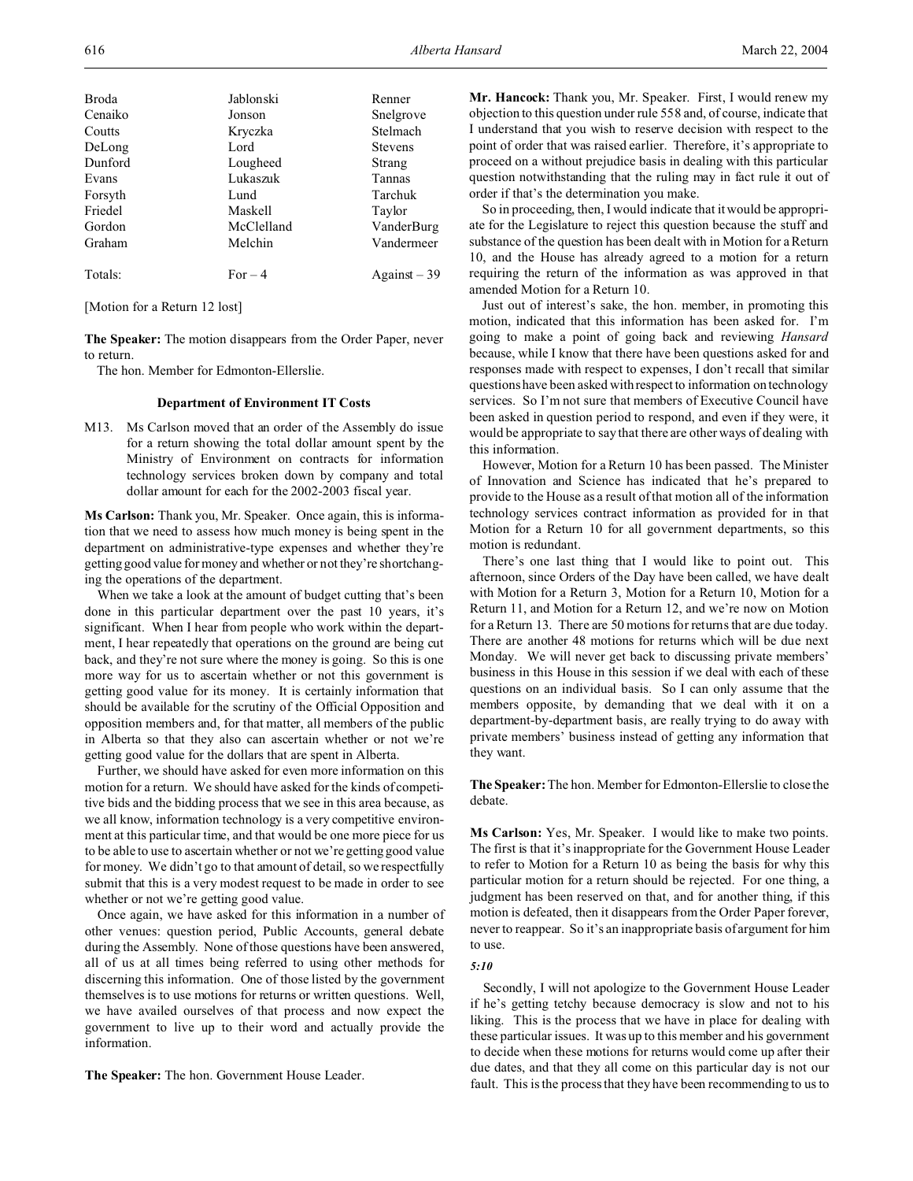|  |  | IVI'd. |
|--|--|--------|
|  |  |        |
|  |  |        |

| Broda   | Jablonski  | Renner           |
|---------|------------|------------------|
| Cenaiko | Jonson     | Snelgrove        |
| Coutts  | Kryczka    | Stelmach         |
| DeLong  | Lord       | <b>Stevens</b>   |
| Dunford | Lougheed   | Strang           |
| Evans   | Lukaszuk   | Tannas           |
| Forsyth | Lund       | Tarchuk          |
| Friedel | Maskell    | Taylor           |
| Gordon  | McClelland | VanderBurg       |
| Graham  | Melchin    | Vandermeer       |
|         |            |                  |
| Totals: | $For-4$    | $A$ gainst $-39$ |

[Motion for a Return 12 lost]

**The Speaker:** The motion disappears from the Order Paper, never to return.

The hon. Member for Edmonton-Ellerslie.

# **Department of Environment IT Costs**

M13. Ms Carlson moved that an order of the Assembly do issue for a return showing the total dollar amount spent by the Ministry of Environment on contracts for information technology services broken down by company and total dollar amount for each for the 2002-2003 fiscal year.

**Ms Carlson:** Thank you, Mr. Speaker. Once again, this is information that we need to assess how much money is being spent in the department on administrative-type expenses and whether they're getting good value for money and whether or not they're shortchanging the operations of the department.

When we take a look at the amount of budget cutting that's been done in this particular department over the past 10 years, it's significant. When I hear from people who work within the department, I hear repeatedly that operations on the ground are being cut back, and they're not sure where the money is going. So this is one more way for us to ascertain whether or not this government is getting good value for its money. It is certainly information that should be available for the scrutiny of the Official Opposition and opposition members and, for that matter, all members of the public in Alberta so that they also can ascertain whether or not we're getting good value for the dollars that are spent in Alberta.

Further, we should have asked for even more information on this motion for a return. We should have asked for the kinds of competitive bids and the bidding process that we see in this area because, as we all know, information technology is a very competitive environment at this particular time, and that would be one more piece for us to be able to use to ascertain whether or not we're getting good value for money. We didn't go to that amount of detail, so we respectfully submit that this is a very modest request to be made in order to see whether or not we're getting good value.

Once again, we have asked for this information in a number of other venues: question period, Public Accounts, general debate during the Assembly. None of those questions have been answered, all of us at all times being referred to using other methods for discerning this information. One of those listed by the government themselves is to use motions for returns or written questions. Well, we have availed ourselves of that process and now expect the government to live up to their word and actually provide the information.

**The Speaker:** The hon. Government House Leader.

**Mr. Hancock:** Thank you, Mr. Speaker. First, I would renew my objection to this question under rule 558 and, of course, indicate that I understand that you wish to reserve decision with respect to the point of order that was raised earlier. Therefore, it's appropriate to proceed on a without prejudice basis in dealing with this particular question notwithstanding that the ruling may in fact rule it out of order if that's the determination you make.

So in proceeding, then, I would indicate that it would be appropriate for the Legislature to reject this question because the stuff and substance of the question has been dealt with in Motion for a Return 10, and the House has already agreed to a motion for a return requiring the return of the information as was approved in that amended Motion for a Return 10.

Just out of interest's sake, the hon. member, in promoting this motion, indicated that this information has been asked for. I'm going to make a point of going back and reviewing *Hansard* because, while I know that there have been questions asked for and responses made with respect to expenses, I don't recall that similar questions have been asked with respect to information on technology services. So I'm not sure that members of Executive Council have been asked in question period to respond, and even if they were, it would be appropriate to say that there are other ways of dealing with this information.

However, Motion for a Return 10 has been passed. The Minister of Innovation and Science has indicated that he's prepared to provide to the House as a result of that motion all of the information technology services contract information as provided for in that Motion for a Return 10 for all government departments, so this motion is redundant.

There's one last thing that I would like to point out. This afternoon, since Orders of the Day have been called, we have dealt with Motion for a Return 3, Motion for a Return 10, Motion for a Return 11, and Motion for a Return 12, and we're now on Motion for a Return 13. There are 50 motions for returns that are due today. There are another 48 motions for returns which will be due next Monday. We will never get back to discussing private members' business in this House in this session if we deal with each of these questions on an individual basis. So I can only assume that the members opposite, by demanding that we deal with it on a department-by-department basis, are really trying to do away with private members' business instead of getting any information that they want.

**The Speaker:**The hon. Member for Edmonton-Ellerslie to close the debate.

**Ms Carlson:** Yes, Mr. Speaker. I would like to make two points. The first is that it's inappropriate for the Government House Leader to refer to Motion for a Return 10 as being the basis for why this particular motion for a return should be rejected. For one thing, a judgment has been reserved on that, and for another thing, if this motion is defeated, then it disappears from the Order Paper forever, never to reappear. So it's an inappropriate basis of argument for him to use.

#### *5:10*

Secondly, I will not apologize to the Government House Leader if he's getting tetchy because democracy is slow and not to his liking. This is the process that we have in place for dealing with these particular issues. It was up to this member and his government to decide when these motions for returns would come up after their due dates, and that they all come on this particular day is not our fault. This is the process that they have been recommending to us to